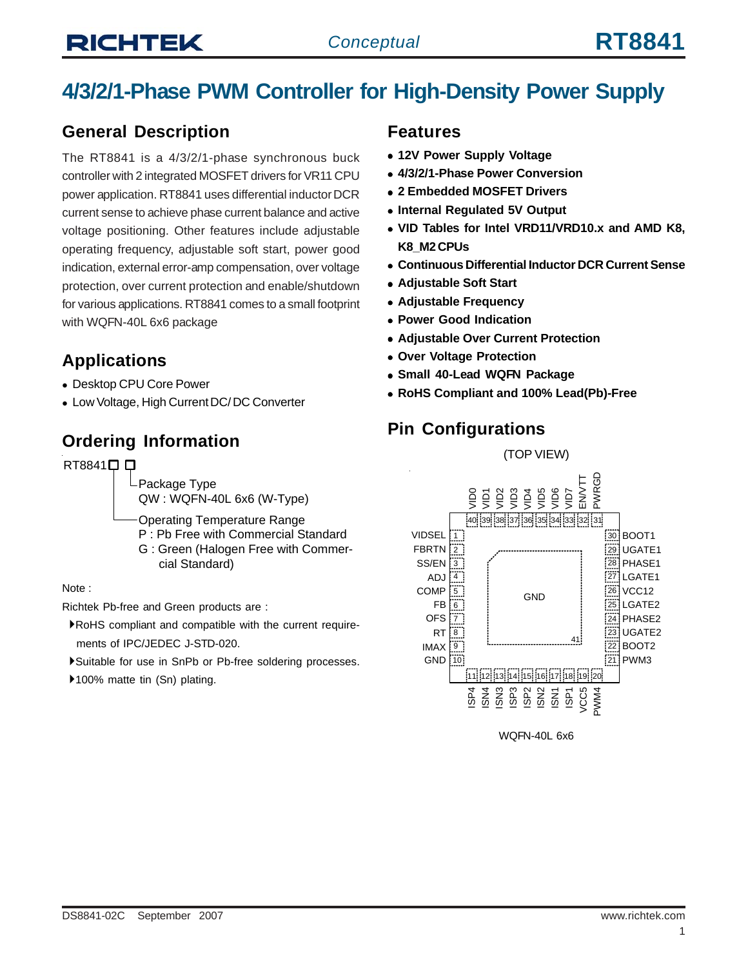## **4/3/2/1-Phase PWM Controller for High-Density Power Supply**

## **General Description**

The RT8841 is a 4/3/2/1-phase synchronous buck controller with 2 integrated MOSFET drivers for VR11 CPU power application. RT8841 uses differential inductor DCR current sense to achieve phase current balance and active voltage positioning. Other features include adjustable operating frequency, adjustable soft start, power good indication, external error-amp compensation, over voltage protection, over current protection and enable/shutdown for various applications. RT8841 comes to a small footprint with WQFN-40L 6x6 package

## **Applications**

- Desktop CPU Core Power
- Low Voltage, High Current DC/ DC Converter

## **Ordering Information**

RT8841□

Package Type QW : WQFN-40L 6x6 (W-Type)

Operating Temperature Range

P : Pb Free with Commercial Standard G : Green (Halogen Free with Commer cial Standard)

Note :

Richtek Pb-free and Green products are :

- `RoHS compliant and compatible with the current require ments of IPC/JEDEC J-STD-020.
- `Suitable for use in SnPb or Pb-free soldering processes.

▶100% matte tin (Sn) plating.

#### **Features**

- **12V Power Supply Voltage**
- <sup>z</sup> **4/3/2/1-Phase Power Conversion**
- <sup>z</sup> **2 Embedded MOSFET Drivers**
- **Internal Regulated 5V Output**
- VID Tables for Intel VRD11/VRD10.x and AMD K8, **K8\_M2 CPUs**
- <sup>z</sup> **Continuous Differential Inductor DCR Current Sense**
- **Adjustable Soft Start**
- **Adjustable Frequency**
- **Power Good Indication**
- **Adjustable Over Current Protection**
- **Over Voltage Protection**
- **Small 40-Lead WQFN Package**
- <sup>z</sup> **RoHS Compliant and 100% Lead(Pb)-Free**

## **Pin Configurations**



WQFN-40L 6x6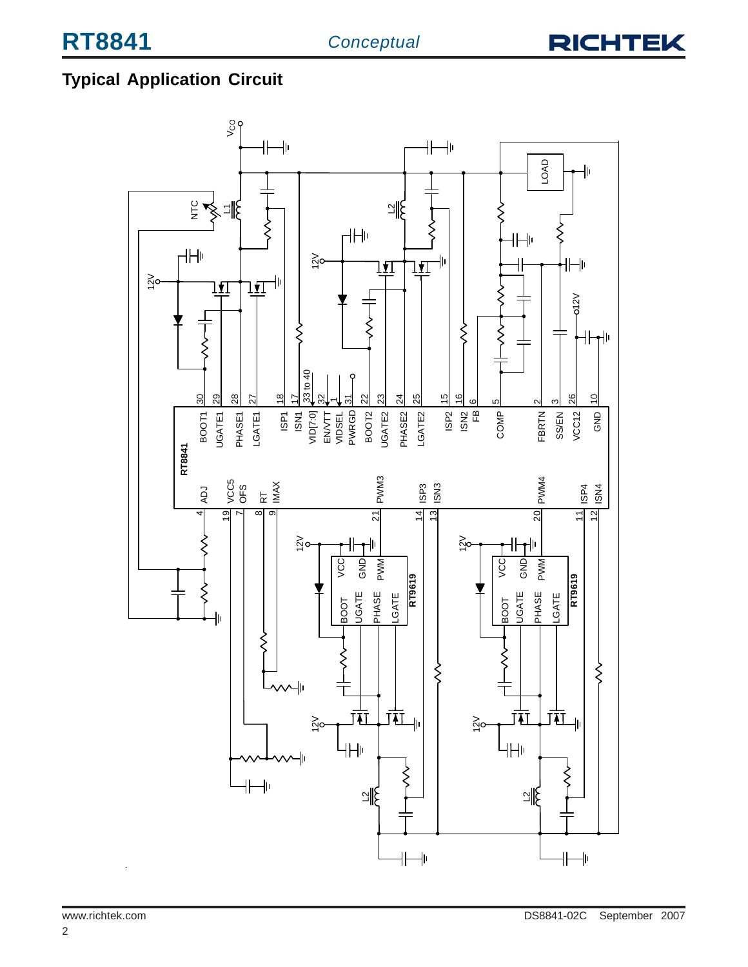

## **Typical Application Circuit**

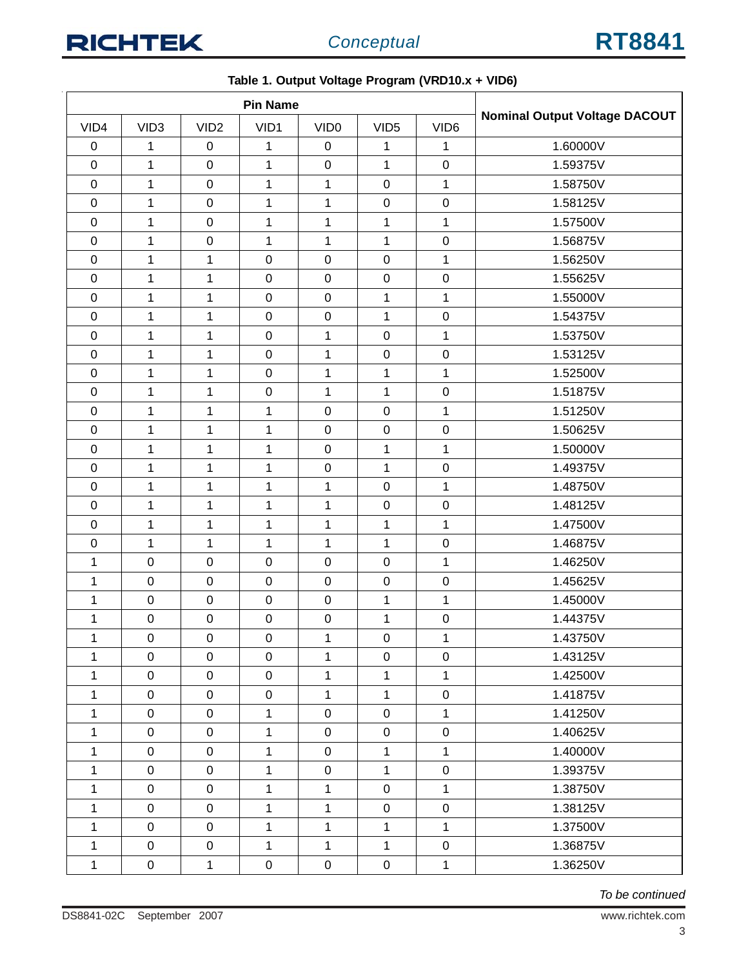| <b>Pin Name</b>  |                  |                  |                  |                  |                  |                  |                                      |
|------------------|------------------|------------------|------------------|------------------|------------------|------------------|--------------------------------------|
| VID4             | VID <sub>3</sub> | VID <sub>2</sub> | VID1             | VID <sub>0</sub> | VID <sub>5</sub> | VID <sub>6</sub> | <b>Nominal Output Voltage DACOUT</b> |
| $\pmb{0}$        | 1                | $\mathbf 0$      | 1                | $\boldsymbol{0}$ | 1                | 1                | 1.60000V                             |
| $\mathbf 0$      | 1                | $\mathbf 0$      | 1                | $\boldsymbol{0}$ | 1                | $\pmb{0}$        | 1.59375V                             |
| $\mathsf 0$      | $\mathbf{1}$     | $\mathbf 0$      | $\mathbf{1}$     | $\mathbf{1}$     | $\mathbf 0$      | $\mathbf{1}$     | 1.58750V                             |
| $\mathbf 0$      | $\mathbf{1}$     | $\mathbf 0$      | $\mathbf{1}$     | $\mathbf{1}$     | $\mathsf 0$      | $\pmb{0}$        | 1.58125V                             |
| $\pmb{0}$        | $\mathbf 1$      | $\pmb{0}$        | $\mathbf{1}$     | $\mathbf 1$      | 1                | $\mathbf{1}$     | 1.57500V                             |
| $\pmb{0}$        | $\mathbf 1$      | $\pmb{0}$        | $\mathbf{1}$     | $\mathbf{1}$     | $\mathbf{1}$     | $\pmb{0}$        | 1.56875V                             |
| $\mathbf 0$      | $\mathbf{1}$     | 1                | $\mathbf 0$      | $\boldsymbol{0}$ | $\mathbf 0$      | $\mathbf{1}$     | 1.56250V                             |
| $\pmb{0}$        | $\mathbf 1$      | 1                | $\boldsymbol{0}$ | $\boldsymbol{0}$ | $\boldsymbol{0}$ | $\pmb{0}$        | 1.55625V                             |
| $\mathbf 0$      | $\mathbf{1}$     | 1                | $\mathbf 0$      | $\mathbf 0$      | $\mathbf{1}$     | $\mathbf{1}$     | 1.55000V                             |
| $\mathsf 0$      | $\mathbf 1$      | 1                | $\pmb{0}$        | $\boldsymbol{0}$ | $\mathbf{1}$     | $\pmb{0}$        | 1.54375V                             |
| $\pmb{0}$        | $\mathbf{1}$     | 1                | $\mathbf 0$      | 1                | $\mathbf 0$      | $\mathbf{1}$     | 1.53750V                             |
| $\mathsf 0$      | $\mathbf 1$      | $\mathbf 1$      | $\pmb{0}$        | $\mathbf{1}$     | $\pmb{0}$        | $\pmb{0}$        | 1.53125V                             |
| $\pmb{0}$        | $\mathbf 1$      | 1                | $\mathbf 0$      | $\mathbf{1}$     | $\mathbf{1}$     | 1                | 1.52500V                             |
| $\mathbf 0$      | 1                | 1                | $\boldsymbol{0}$ | 1                | 1                | $\pmb{0}$        | 1.51875V                             |
| $\pmb{0}$        | $\mathbf 1$      | $\mathbf 1$      | $\mathbf{1}$     | $\mathbf 0$      | $\mathbf 0$      | $\mathbf{1}$     | 1.51250V                             |
| $\mathbf 0$      | $\mathbf{1}$     | 1                | $\mathbf{1}$     | $\boldsymbol{0}$ | $\mathbf 0$      | $\pmb{0}$        | 1.50625V                             |
| $\pmb{0}$        | $\mathbf{1}$     | 1                | 1                | $\boldsymbol{0}$ | 1                | $\mathbf{1}$     | 1.50000V                             |
| $\pmb{0}$        | $\mathbf 1$      | $\mathbf 1$      | $\mathbf 1$      | $\pmb{0}$        | $\mathbf{1}$     | $\pmb{0}$        | 1.49375V                             |
| $\mathbf 0$      | $\mathbf 1$      | 1                | $\mathbf{1}$     | $\mathbf{1}$     | $\mathbf 0$      | $\mathbf{1}$     | 1.48750V                             |
| $\boldsymbol{0}$ | $\mathbf{1}$     | 1                | 1                | 1                | $\mathbf 0$      | $\pmb{0}$        | 1.48125V                             |
| $\mathbf 0$      | $\mathbf{1}$     | $\mathbf{1}$     | $\mathbf{1}$     | $\mathbf{1}$     | $\mathbf{1}$     | $\mathbf{1}$     | 1.47500V                             |
| $\pmb{0}$        | $\mathbf{1}$     | 1                | $\mathbf{1}$     | 1                | $\mathbf{1}$     | $\pmb{0}$        | 1.46875V                             |
| 1                | $\mathbf 0$      | $\mathbf 0$      | $\mathbf 0$      | $\boldsymbol{0}$ | $\mathbf 0$      | 1                | 1.46250V                             |
| 1                | $\pmb{0}$        | $\pmb{0}$        | $\pmb{0}$        | $\boldsymbol{0}$ | $\pmb{0}$        | $\pmb{0}$        | 1.45625V                             |
| 1                | $\pmb{0}$        | $\pmb{0}$        | $\pmb{0}$        | $\mathbf 0$      | $\mathbf{1}$     | $\mathbf{1}$     | 1.45000V                             |
| 1                | $\pmb{0}$        | 0                | $\pmb{0}$        | $\mathbf 0$      | 1                | $\pmb{0}$        | 1.44375V                             |
| 1                | 0                | 0                | 0                | 1                | 0                | 1                | 1.43750V                             |
| 1                | $\mathbf 0$      | $\mathbf 0$      | $\mathbf 0$      | $\mathbf{1}$     | $\mathbf 0$      | $\mathbf 0$      | 1.43125V                             |
| 1                | $\mathsf 0$      | $\mathbf 0$      | $\mathsf 0$      | 1                | $\mathbf{1}$     | $\mathbf{1}$     | 1.42500V                             |
| 1                | $\pmb{0}$        | $\mathbf 0$      | $\mathbf 0$      | $\mathbf{1}$     | $\mathbf{1}$     | $\boldsymbol{0}$ | 1.41875V                             |
| $\mathbf{1}$     | $\pmb{0}$        | $\mathbf 0$      | $\mathbf{1}$     | $\pmb{0}$        | $\mathbf 0$      | $\mathbf{1}$     | 1.41250V                             |
| 1                | $\mathsf 0$      | $\mathbf 0$      | $\mathbf{1}$     | $\pmb{0}$        | $\mathbf 0$      | $\boldsymbol{0}$ | 1.40625V                             |
| 1                | $\boldsymbol{0}$ | $\mathbf 0$      | $\mathbf{1}$     | $\pmb{0}$        | $\mathbf{1}$     | $\mathbf 1$      | 1.40000V                             |
| 1                | $\pmb{0}$        | $\mathbf 0$      | 1                | $\mathbf 0$      | $\mathbf{1}$     | 0                | 1.39375V                             |
| 1                | $\mathbf 0$      | $\mathbf 0$      | $\mathbf{1}$     | $\mathbf{1}$     | $\mathbf 0$      | $\mathbf{1}$     | 1.38750V                             |
| 1                | $\pmb{0}$        | $\mathbf 0$      | 1                | $\mathbf{1}$     | $\mathbf 0$      | $\pmb{0}$        | 1.38125V                             |
| $\mathbf{1}$     | $\pmb{0}$        | $\mathbf 0$      | $\mathbf{1}$     | $\mathbf{1}$     | $\mathbf{1}$     | $\mathbf{1}$     | 1.37500V                             |
| 1                | $\pmb{0}$        | $\mathbf 0$      | $\mathbf{1}$     | $\mathbf{1}$     | $\mathbf{1}$     | $\mathbf 0$      | 1.36875V                             |
| 1                | $\pmb{0}$        | 1                | $\pmb{0}$        | $\mathbf 0$      | $\mathbf 0$      | $\mathbf{1}$     | 1.36250V                             |

**Table 1. Output Voltage Program (VRD10.x + VID6)**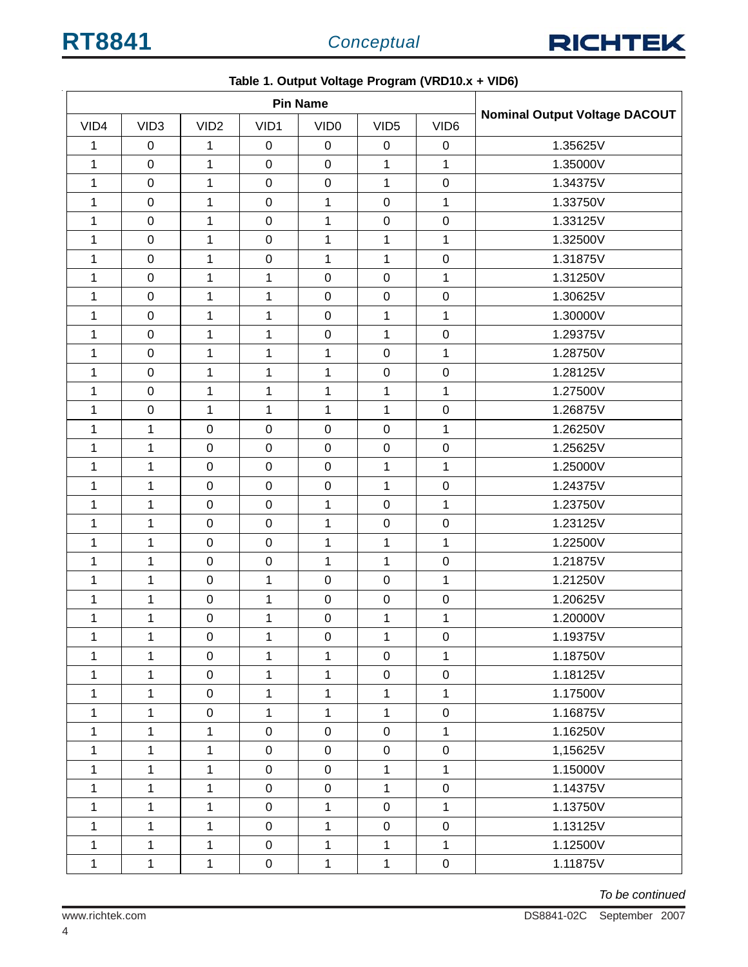

|              | <b>Pin Name</b>  |                  |              |                  |                  |                  |                                      |
|--------------|------------------|------------------|--------------|------------------|------------------|------------------|--------------------------------------|
| VID4         | VID <sub>3</sub> | VID <sub>2</sub> | VID1         | VID <sub>0</sub> | VID <sub>5</sub> | VID <sub>6</sub> | <b>Nominal Output Voltage DACOUT</b> |
| 1            | $\pmb{0}$        | $\mathbf{1}$     | $\pmb{0}$    | $\mathbf 0$      | $\pmb{0}$        | 0                | 1.35625V                             |
| $\mathbf{1}$ | $\pmb{0}$        | $\mathbf{1}$     | $\pmb{0}$    | $\pmb{0}$        | $\mathbf{1}$     | 1                | 1.35000V                             |
| 1            | $\pmb{0}$        | $\mathbf{1}$     | $\mathbf 0$  | $\pmb{0}$        | $\mathbf{1}$     | $\pmb{0}$        | 1.34375V                             |
| 1            | $\pmb{0}$        | $\mathbf{1}$     | $\mathbf 0$  | $\mathbf 1$      | $\mathbf 0$      | $\mathbf{1}$     | 1.33750V                             |
| 1            | $\pmb{0}$        | $\mathbf{1}$     | $\pmb{0}$    | $\mathbf 1$      | $\pmb{0}$        | $\mathbf 0$      | 1.33125V                             |
| 1            | $\pmb{0}$        | 1                | $\mathbf 0$  | $\mathbf{1}$     | $\mathbf{1}$     | $\mathbf{1}$     | 1.32500V                             |
| 1            | $\mathbf 0$      | 1                | $\pmb{0}$    | $\mathbf{1}$     | $\mathbf{1}$     | $\mathbf 0$      | 1.31875V                             |
| 1            | $\pmb{0}$        | $\mathbf{1}$     | $\mathbf{1}$ | $\pmb{0}$        | $\pmb{0}$        | $\mathbf{1}$     | 1.31250V                             |
| 1            | $\pmb{0}$        | $\mathbf{1}$     | $\mathbf 1$  | $\pmb{0}$        | $\mathsf 0$      | $\boldsymbol{0}$ | 1.30625V                             |
| 1            | $\mathbf 0$      | $\mathbf{1}$     | $\mathbf{1}$ | $\pmb{0}$        | $\mathbf{1}$     | 1                | 1.30000V                             |
| 1            | $\pmb{0}$        | 1                | $\mathbf{1}$ | $\pmb{0}$        | $\mathbf{1}$     | $\mathbf 0$      | 1.29375V                             |
| 1            | $\pmb{0}$        | 1                | $\mathbf 1$  | $\mathbf 1$      | $\mathbf 0$      | $\mathbf{1}$     | 1.28750V                             |
| 1            | $\pmb{0}$        | $\mathbf{1}$     | $\mathbf{1}$ | $\mathbf{1}$     | $\pmb{0}$        | $\mathbf 0$      | 1.28125V                             |
| 1            | $\pmb{0}$        | 1                | $\mathbf{1}$ | 1                | $\mathbf{1}$     | $\mathbf{1}$     | 1.27500V                             |
| 1            | $\mathbf 0$      | $\mathbf{1}$     | $\mathbf{1}$ | $\mathbf{1}$     | $\mathbf{1}$     | $\pmb{0}$        | 1.26875V                             |
| $\mathbf{1}$ | $\mathbf 1$      | $\mathbf 0$      | $\pmb{0}$    | $\pmb{0}$        | $\boldsymbol{0}$ | 1                | 1.26250V                             |
| 1            | $\mathbf{1}$     | $\mathbf 0$      | $\pmb{0}$    | $\pmb{0}$        | $\mathbf 0$      | $\mathbf 0$      | 1.25625V                             |
| 1            | $\mathbf{1}$     | $\mathbf 0$      | $\mathbf 0$  | $\mathbf 0$      | $\mathbf{1}$     | $\mathbf{1}$     | 1.25000V                             |
| 1            | $\mathbf 1$      | $\pmb{0}$        | $\pmb{0}$    | $\pmb{0}$        | $\mathbf{1}$     | $\mathbf 0$      | 1.24375V                             |
| 1            | $\mathbf{1}$     | $\mathbf 0$      | $\pmb{0}$    | $\mathbf{1}$     | $\mathbf 0$      | $\mathbf{1}$     | 1.23750V                             |
| 1            | $\mathbf{1}$     | $\mathsf 0$      | $\pmb{0}$    | $\mathbf 1$      | $\mathbf 0$      | $\pmb{0}$        | 1.23125V                             |
| $\mathbf 1$  | $\mathbf 1$      | $\mathbf 0$      | $\pmb{0}$    | $\mathbf 1$      | $\mathbf{1}$     | $\mathbf 1$      | 1.22500V                             |
| 1            | $\mathbf{1}$     | $\mathbf 0$      | $\pmb{0}$    | $\mathbf{1}$     | $\mathbf{1}$     | $\mathbf 0$      | 1.21875V                             |
| 1            | $\mathbf{1}$     | $\pmb{0}$        | $\mathbf{1}$ | $\pmb{0}$        | $\mathbf 0$      | $\mathbf{1}$     | 1.21250V                             |
| 1            | $\mathbf{1}$     | $\pmb{0}$        | $\mathbf 1$  | $\pmb{0}$        | $\pmb{0}$        | $\mathbf 0$      | 1.20625V                             |
| 1            | 1                | $\,0\,$          | $\mathbf{1}$ | $\pmb{0}$        | $\mathbf{1}$     | 1                | 1.20000V                             |
| $\mathbf{1}$ | $\mathbf 1$      | $\mathsf 0$      | 1            | $\pmb{0}$        | $\mathbf{1}$     | $\mathbf 0$      | 1.19375V                             |
| $\mathbf{1}$ | $\mathbf{1}$     | $\mathbf 0$      | $\mathbf{1}$ | $\mathbf{1}$     | $\mathbf 0$      | $\mathbf{1}$     | 1.18750V                             |
| 1            | $\mathbf{1}$     | $\mathbf 0$      | $\mathbf{1}$ | $\mathbf{1}$     | $\mathbf 0$      | $\boldsymbol{0}$ | 1.18125V                             |
| 1            | $\mathbf{1}$     | $\mathbf 0$      | $\mathbf 1$  | $\mathbf{1}$     | $\mathbf{1}$     | $\mathbf{1}$     | 1.17500V                             |
| 1            | $\mathbf{1}$     | $\mathbf 0$      | $\mathbf 1$  | $\mathbf{1}$     | $\mathbf{1}$     | $\boldsymbol{0}$ | 1.16875V                             |
| 1            | $\mathbf{1}$     | $\mathbf{1}$     | $\pmb{0}$    | $\pmb{0}$        | $\mathbf 0$      | $\mathbf{1}$     | 1.16250V                             |
| 1            | $\mathbf{1}$     | $\mathbf{1}$     | $\pmb{0}$    | $\mathbf 0$      | $\pmb{0}$        | $\pmb{0}$        | 1,15625V                             |
| $\mathbf{1}$ | $\mathbf{1}$     | $\mathbf{1}$     | $\pmb{0}$    | $\mathsf 0$      | $\mathbf{1}$     | $\mathbf{1}$     | 1.15000V                             |
| 1            | 1                | 1                | $\pmb{0}$    | $\mathsf 0$      | $\mathbf{1}$     | $\boldsymbol{0}$ | 1.14375V                             |
| 1            | $\mathbf{1}$     | 1                | $\mathbf 0$  | $\mathbf{1}$     | $\mathbf 0$      | $\mathbf{1}$     | 1.13750V                             |
| 1            | $\mathbf{1}$     | $\mathbf{1}$     | $\mathbf 0$  | $\mathbf{1}$     | $\mathbf 0$      | $\boldsymbol{0}$ | 1.13125V                             |
| 1            | $\mathbf{1}$     | 1                | $\mathsf 0$  | $\mathbf{1}$     | $\mathbf{1}$     | $\mathbf{1}$     | 1.12500V                             |
| 1            | $\mathbf{1}$     | $\mathbf{1}$     | $\mathbf 0$  | $\mathbf{1}$     | $\mathbf{1}$     | $\boldsymbol{0}$ | 1.11875V                             |

**Table 1. Output Voltage Program (VRD10.x + VID6)**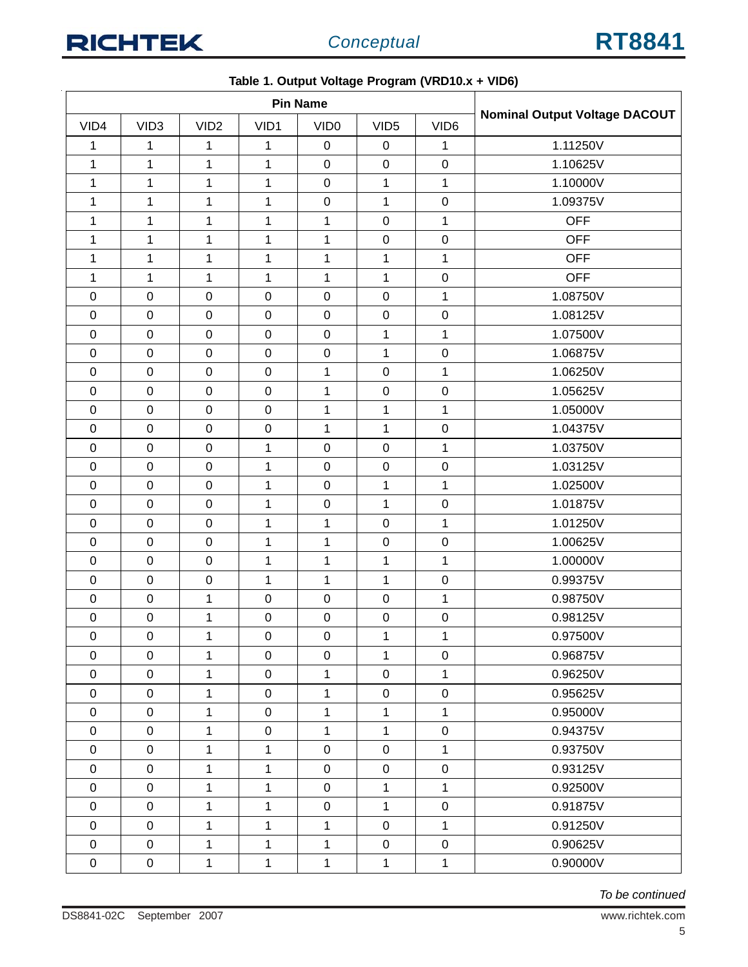|                  | <b>Pin Name</b>  |                  |                  |                  |                  |                  |                                      |
|------------------|------------------|------------------|------------------|------------------|------------------|------------------|--------------------------------------|
| VID4             | VID <sub>3</sub> | VID <sub>2</sub> | VID1             | VID <sub>0</sub> | VID <sub>5</sub> | VID <sub>6</sub> | <b>Nominal Output Voltage DACOUT</b> |
| 1                | 1                | 1                | 1                | $\mathbf 0$      | $\mathbf 0$      | 1                | 1.11250V                             |
| $\mathbf 1$      | 1                | 1                | $\mathbf{1}$     | $\pmb{0}$        | $\mathbf 0$      | $\pmb{0}$        | 1.10625V                             |
| $\mathbf{1}$     | $\mathbf{1}$     | 1                | $\mathbf{1}$     | $\pmb{0}$        | $\mathbf{1}$     | $\mathbf{1}$     | 1.10000V                             |
| 1                | 1                | 1                | 1                | $\pmb{0}$        | $\mathbf 1$      | $\mathbf 0$      | 1.09375V                             |
| $\mathbf 1$      | $\mathbf 1$      | 1                | $\mathbf 1$      | $\mathbf{1}$     | $\mathbf 0$      | $\mathbf 1$      | <b>OFF</b>                           |
| $\mathbf 1$      | $\mathbf{1}$     | $\mathbf{1}$     | $\mathbf{1}$     | $\mathbf 1$      | $\mathbf 0$      | $\pmb{0}$        | <b>OFF</b>                           |
| 1                | 1                | 1                | $\mathbf 1$      | 1                | $\mathbf 1$      | 1                | <b>OFF</b>                           |
| $\mathbf{1}$     | 1                | 1                | $\mathbf 1$      | 1                | $\mathbf{1}$     | $\pmb{0}$        | <b>OFF</b>                           |
| $\boldsymbol{0}$ | $\pmb{0}$        | $\boldsymbol{0}$ | $\boldsymbol{0}$ | $\pmb{0}$        | $\boldsymbol{0}$ | $\mathbf 1$      | 1.08750V                             |
| $\mathbf 0$      | 0                | $\mathbf 0$      | $\boldsymbol{0}$ | $\pmb{0}$        | $\mathbf 0$      | $\pmb{0}$        | 1.08125V                             |
| $\boldsymbol{0}$ | $\pmb{0}$        | $\pmb{0}$        | $\pmb{0}$        | $\pmb{0}$        | $\mathbf{1}$     | $\mathbf{1}$     | 1.07500V                             |
| $\boldsymbol{0}$ | $\pmb{0}$        | $\pmb{0}$        | $\boldsymbol{0}$ | $\pmb{0}$        | $\mathbf{1}$     | $\pmb{0}$        | 1.06875V                             |
| $\mathbf 0$      | $\pmb{0}$        | $\mathbf 0$      | $\boldsymbol{0}$ | 1                | $\mathbf 0$      | $\mathbf{1}$     | 1.06250V                             |
| $\boldsymbol{0}$ | 0                | $\pmb{0}$        | $\boldsymbol{0}$ | 1                | $\mathbf 0$      | $\pmb{0}$        | 1.05625V                             |
| $\mathbf 0$      | $\pmb{0}$        | $\mathbf 0$      | $\mathbf 0$      | 1                | $\mathbf{1}$     | $\mathbf{1}$     | 1.05000V                             |
| $\pmb{0}$        | $\pmb{0}$        | $\pmb{0}$        | $\boldsymbol{0}$ | 1                | $\mathbf 1$      | $\pmb{0}$        | 1.04375V                             |
| $\boldsymbol{0}$ | $\pmb{0}$        | $\mathbf 0$      | 1                | $\pmb{0}$        | $\pmb{0}$        | $\mathbf{1}$     | 1.03750V                             |
| $\mathbf 0$      | $\pmb{0}$        | $\mathbf 0$      | $\mathbf{1}$     | $\pmb{0}$        | $\pmb{0}$        | $\pmb{0}$        | 1.03125V                             |
| $\boldsymbol{0}$ | $\pmb{0}$        | $\pmb{0}$        | $\mathbf{1}$     | $\pmb{0}$        | $\mathbf 1$      | $\mathbf 1$      | 1.02500V                             |
| $\mathbf 0$      | $\boldsymbol{0}$ | $\mathbf 0$      | $\mathbf{1}$     | $\pmb{0}$        | $\mathbf{1}$     | $\pmb{0}$        | 1.01875V                             |
| $\boldsymbol{0}$ | $\pmb{0}$        | $\pmb{0}$        | $\mathbf{1}$     | $\mathbf{1}$     | $\mathbf 0$      | $\mathbf 1$      | 1.01250V                             |
| $\boldsymbol{0}$ | $\pmb{0}$        | $\boldsymbol{0}$ | $\mathbf{1}$     | 1                | $\mathbf 0$      | $\pmb{0}$        | 1.00625V                             |
| $\boldsymbol{0}$ | $\pmb{0}$        | $\pmb{0}$        | $\mathbf{1}$     | 1                | $\mathbf{1}$     | $\mathbf{1}$     | 1.00000V                             |
| $\mathbf 0$      | $\pmb{0}$        | $\boldsymbol{0}$ | $\mathbf 1$      | $\mathbf 1$      | $\mathbf{1}$     | $\mathbf 0$      | 0.99375V                             |
| $\mathbf 0$      | $\pmb{0}$        | $\mathbf{1}$     | $\boldsymbol{0}$ | $\mathsf 0$      | $\pmb{0}$        | $\mathbf{1}$     | 0.98750V                             |
| $\boldsymbol{0}$ | $\pmb{0}$        | 1                | $\boldsymbol{0}$ | $\pmb{0}$        | $\pmb{0}$        | $\pmb{0}$        | 0.98125V                             |
| $\pmb{0}$        | $\pmb{0}$        | 1                | $\pmb{0}$        | $\pmb{0}$        | $\mathbf 1$      | $\mathbf{1}$     | 0.97500V                             |
| $\pmb{0}$        | 0                | 1                | $\mathbf 0$      | 0                | 1                | $\pmb{0}$        | 0.96875V                             |
| $\mathbf 0$      | $\pmb{0}$        | 1                | $\pmb{0}$        | $\mathbf{1}$     | $\mathbf 0$      | $\mathbf{1}$     | 0.96250V                             |
| $\pmb{0}$        | $\boldsymbol{0}$ | 1                | $\mathsf 0$      | $\mathbf{1}$     | $\mathbf 0$      | $\pmb{0}$        | 0.95625V                             |
| $\pmb{0}$        | $\boldsymbol{0}$ | $\mathbf{1}$     | $\pmb{0}$        | $\mathbf{1}$     | $\mathbf{1}$     | $\mathbf{1}$     | 0.95000V                             |
| $\mathbf 0$      | $\pmb{0}$        | $\mathbf{1}$     | $\mathbf 0$      | $\mathbf{1}$     | $\mathbf{1}$     | $\pmb{0}$        | 0.94375V                             |
| $\pmb{0}$        | $\pmb{0}$        | 1                | $\mathbf{1}$     | 0                | $\mathbf 0$      | 1                | 0.93750V                             |
| $\mathbf 0$      | $\pmb{0}$        | 1                | $\mathbf{1}$     | $\boldsymbol{0}$ | $\mathbf 0$      | $\pmb{0}$        | 0.93125V                             |
| $\pmb{0}$        | 0                | $\mathbf{1}$     | $\mathbf{1}$     | $\mathbf 0$      | $\mathbf{1}$     | $\mathbf{1}$     | 0.92500V                             |
| $\pmb{0}$        | $\boldsymbol{0}$ | 1                | $\mathbf{1}$     | $\boldsymbol{0}$ | $\mathbf{1}$     | $\pmb{0}$        | 0.91875V                             |
| $\pmb{0}$        | $\pmb{0}$        | $\mathbf{1}$     | $\mathbf{1}$     | $\mathbf{1}$     | $\mathbf 0$      | $\mathbf{1}$     | 0.91250V                             |
| $\pmb{0}$        | $\boldsymbol{0}$ | $\mathbf{1}$     | $\mathbf{1}$     | $\mathbf{1}$     | $\boldsymbol{0}$ | $\boldsymbol{0}$ | 0.90625V                             |
| $\pmb{0}$        | 0                | 1                | $\mathbf{1}$     | $\mathbf{1}$     | $\mathbf{1}$     | $\mathbf{1}$     | 0.90000V                             |

#### **Table 1. Output Voltage Program (VRD10.x + VID6)**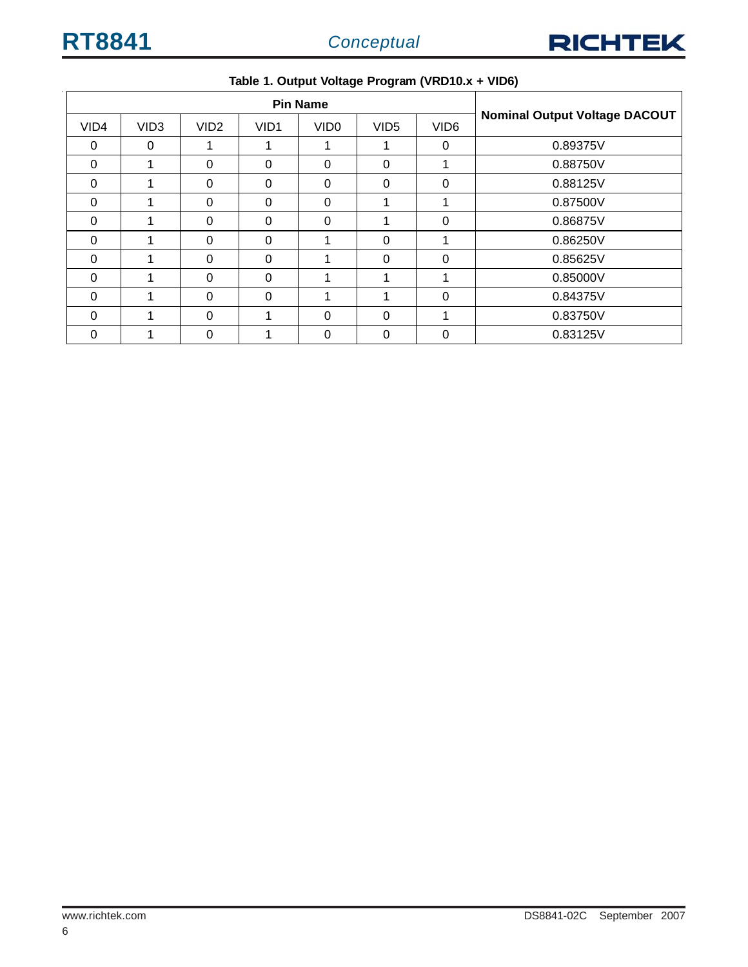

| <b>Pin Name</b> |                  |                  |                  |                  |                  |                  |                                      |
|-----------------|------------------|------------------|------------------|------------------|------------------|------------------|--------------------------------------|
| VID4            | VID <sub>3</sub> | VID <sub>2</sub> | VID <sub>1</sub> | VID <sub>0</sub> | VID <sub>5</sub> | VID <sub>6</sub> | <b>Nominal Output Voltage DACOUT</b> |
| $\Omega$        | 0                |                  | ٠                |                  |                  | $\Omega$         | 0.89375V                             |
| $\Omega$        |                  | $\Omega$         | 0                | 0                | $\Omega$         |                  | 0.88750V                             |
| $\Omega$        |                  | $\Omega$         | 0                | $\Omega$         | $\Omega$         | 0                | 0.88125V                             |
| $\Omega$        |                  | $\Omega$         | $\Omega$         | $\Omega$         |                  | 4                | 0.87500V                             |
| $\Omega$        |                  | $\Omega$         | $\Omega$         | $\Omega$         |                  | $\Omega$         | 0.86875V                             |
| $\Omega$        |                  | $\Omega$         | $\Omega$         |                  | $\Omega$         | 1                | 0.86250V                             |
| $\Omega$        |                  | $\Omega$         | 0                |                  | $\Omega$         | 0                | 0.85625V                             |
| $\Omega$        |                  | $\Omega$         | $\Omega$         |                  |                  |                  | 0.85000V                             |
| $\Omega$        |                  | $\Omega$         | $\Omega$         |                  |                  | $\Omega$         | 0.84375V                             |
| $\Omega$        |                  | $\Omega$         | 1                | $\Omega$         | $\Omega$         | 1                | 0.83750V                             |
| $\Omega$        |                  | $\Omega$         |                  | 0                | $\Omega$         | $\Omega$         | 0.83125V                             |

#### **Table 1. Output Voltage Program (VRD10.x + VID6)**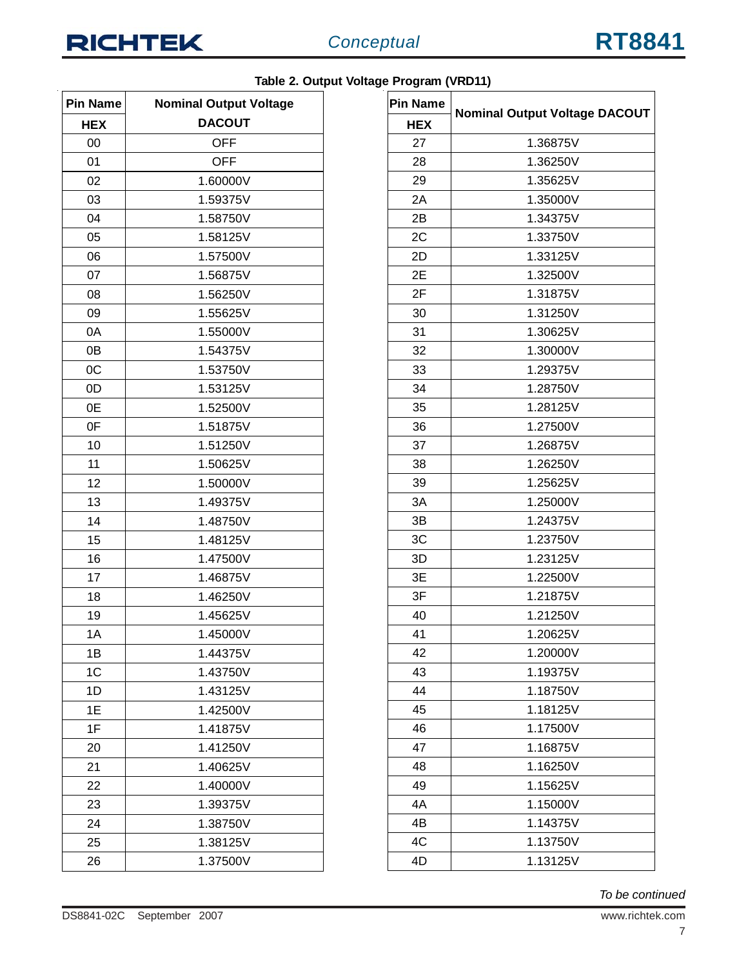

l,

| <b>Pin Name</b> | <b>Nominal Output Voltage</b> |  |  |  |  |
|-----------------|-------------------------------|--|--|--|--|
| <b>HEX</b>      | <b>DACOUT</b>                 |  |  |  |  |
| 00              | <b>OFF</b>                    |  |  |  |  |
| 01              | <b>OFF</b>                    |  |  |  |  |
| 02              | 1.60000V                      |  |  |  |  |
| 03              | 1.59375V                      |  |  |  |  |
| 04              | 1.58750V                      |  |  |  |  |
| 05              | 1.58125V                      |  |  |  |  |
| 06              | 1.57500V                      |  |  |  |  |
| 07              | 1.56875V                      |  |  |  |  |
| 08              | 1.56250V                      |  |  |  |  |
| 09              | 1.55625V                      |  |  |  |  |
| 0A              | 1.55000V                      |  |  |  |  |
| 0B              | 1.54375V                      |  |  |  |  |
| 0C              | 1.53750V                      |  |  |  |  |
| 0D              | 1.53125V                      |  |  |  |  |
| 0E              | 1.52500V                      |  |  |  |  |
| 0F              | 1.51875V                      |  |  |  |  |
| 10              | 1.51250V                      |  |  |  |  |
| 11              | 1.50625V                      |  |  |  |  |
| 12              | 1.50000V                      |  |  |  |  |
| 13              | 1.49375V                      |  |  |  |  |
| 14              | 1.48750V                      |  |  |  |  |
| 15              | 1.48125V                      |  |  |  |  |
| 16              | 1.47500V                      |  |  |  |  |
| 17              | 1.46875V                      |  |  |  |  |
| 18              | 1.46250V                      |  |  |  |  |
| 19              | 1.45625V                      |  |  |  |  |
| 1A              | 1.45000V                      |  |  |  |  |
| 1B              | 1.44375V                      |  |  |  |  |
| 1C              | 1.43750V                      |  |  |  |  |
| 1D              | 1.43125V                      |  |  |  |  |
| 1E              | 1.42500V                      |  |  |  |  |
| 1F              | 1.41875V                      |  |  |  |  |
| 20              | 1.41250V                      |  |  |  |  |
| 21              | 1.40625V                      |  |  |  |  |
| 22              | 1.40000V                      |  |  |  |  |
| 23              | 1.39375V                      |  |  |  |  |
| 24              | 1.38750V                      |  |  |  |  |
| 25              | 1.38125V                      |  |  |  |  |
| 26              | 1.37500V                      |  |  |  |  |

|  |  | Table 2. Output Voltage Program (VRD11) |  |
|--|--|-----------------------------------------|--|
|  |  |                                         |  |

| <b>Pin Name</b> | <b>Nominal Output Voltage DACOUT</b> |  |  |  |  |
|-----------------|--------------------------------------|--|--|--|--|
| <b>HEX</b>      |                                      |  |  |  |  |
| 27              | 1.36875V                             |  |  |  |  |
| 28              | 1.36250V                             |  |  |  |  |
| 29              | 1.35625V                             |  |  |  |  |
| 2A              | 1.35000V                             |  |  |  |  |
| 2B              | 1.34375V                             |  |  |  |  |
| 2C              | 1.33750V                             |  |  |  |  |
| 2D              | 1.33125V                             |  |  |  |  |
| 2E              | 1.32500V                             |  |  |  |  |
| 2F              | 1.31875V                             |  |  |  |  |
| 30              | 1.31250V                             |  |  |  |  |
| 31              | 1.30625V                             |  |  |  |  |
| 32              | 1.30000V                             |  |  |  |  |
| 33              | 1.29375V                             |  |  |  |  |
| 34              | 1.28750V                             |  |  |  |  |
| 35              | 1.28125V                             |  |  |  |  |
| 36              | 1.27500V                             |  |  |  |  |
| 37              | 1.26875V                             |  |  |  |  |
| 38              | 1.26250V                             |  |  |  |  |
| 39              | 1.25625V                             |  |  |  |  |
| 3A              | 1.25000V                             |  |  |  |  |
| 3B              | 1.24375V                             |  |  |  |  |
| 3C              | 1.23750V                             |  |  |  |  |
| 3D              | 1.23125V                             |  |  |  |  |
| ЗE              | 1.22500V                             |  |  |  |  |
| 3F              | 1.21875V                             |  |  |  |  |
| 40              | 1.21250V                             |  |  |  |  |
| 41              | 1.20625V                             |  |  |  |  |
| 42              | 1.20000V                             |  |  |  |  |
| 43              | 1.19375V                             |  |  |  |  |
| 44              | 1.18750V                             |  |  |  |  |
| 45              | 1.18125V                             |  |  |  |  |
| 46              | 1.17500V                             |  |  |  |  |
| 47              | 1.16875V                             |  |  |  |  |
| 48              | 1.16250V                             |  |  |  |  |
| 49              | 1.15625V                             |  |  |  |  |
| 4A              | 1.15000V                             |  |  |  |  |
| 4B              | 1.14375V                             |  |  |  |  |
| 4C              | 1.13750V                             |  |  |  |  |
| 4D              | 1.13125V                             |  |  |  |  |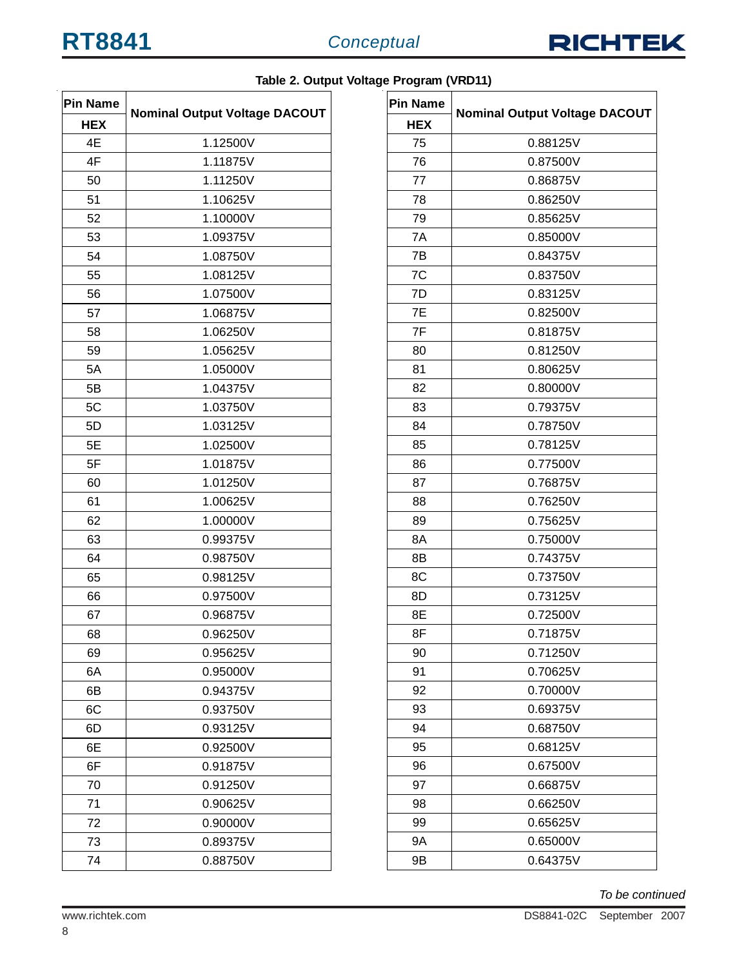

| <b>Pin Name</b> |                                      |  |  |  |  |
|-----------------|--------------------------------------|--|--|--|--|
| <b>HEX</b>      | <b>Nominal Output Voltage DACOUT</b> |  |  |  |  |
| 4E              | 1.12500V                             |  |  |  |  |
| 4F              | 1.11875V                             |  |  |  |  |
| 50              | 1.11250V                             |  |  |  |  |
| 51              | 1.10625V                             |  |  |  |  |
| 52              | 1.10000V                             |  |  |  |  |
| 53              | 1.09375V                             |  |  |  |  |
| 54              | 1.08750V                             |  |  |  |  |
| 55              | 1.08125V                             |  |  |  |  |
| 56              | 1.07500V                             |  |  |  |  |
| 57              | 1.06875V                             |  |  |  |  |
| 58              | 1.06250V                             |  |  |  |  |
| 59              | 1.05625V                             |  |  |  |  |
| 5A              | 1.05000V                             |  |  |  |  |
| 5B              | 1.04375V                             |  |  |  |  |
| 5C              | 1.03750V                             |  |  |  |  |
| 5D              | 1.03125V                             |  |  |  |  |
| 5E              | 1.02500V                             |  |  |  |  |
| 5F              | 1.01875V                             |  |  |  |  |
| 60              | 1.01250V                             |  |  |  |  |
| 61              | 1.00625V                             |  |  |  |  |
| 62              | 1.00000V                             |  |  |  |  |
| 63              | 0.99375V                             |  |  |  |  |
| 64              | 0.98750V                             |  |  |  |  |
| 65              | 0.98125V                             |  |  |  |  |
| 66              | 0.97500V                             |  |  |  |  |
| 67              | 0.96875V                             |  |  |  |  |
| 68              | 0.96250V                             |  |  |  |  |
| 69              | 0.95625V                             |  |  |  |  |
| 6A              | 0.95000V                             |  |  |  |  |
| 6B              | 0.94375V                             |  |  |  |  |
| 6C              | 0.93750V                             |  |  |  |  |
| 6D              | 0.93125V                             |  |  |  |  |
| 6Е              | 0.92500V                             |  |  |  |  |
| 6F              | 0.91875V                             |  |  |  |  |
| 70              | 0.91250V                             |  |  |  |  |
| 71              | 0.90625V                             |  |  |  |  |
| 72              | 0.90000V                             |  |  |  |  |
| 73              | 0.89375V                             |  |  |  |  |
| 74              | 0.88750V                             |  |  |  |  |

|  | Table 2. Output Voltage Program (VRD11) |  |
|--|-----------------------------------------|--|
|  |                                         |  |

| <b>Pin Name</b> | <b>Nominal Output Voltage DACOUT</b> |  |  |  |  |  |
|-----------------|--------------------------------------|--|--|--|--|--|
| <b>HEX</b>      |                                      |  |  |  |  |  |
| 75              | 0.88125V                             |  |  |  |  |  |
| 76              | 0.87500V                             |  |  |  |  |  |
| 77              | 0.86875V                             |  |  |  |  |  |
| 78              | 0.86250V                             |  |  |  |  |  |
| 79              | 0.85625V                             |  |  |  |  |  |
| 7A              | 0.85000V                             |  |  |  |  |  |
| 7B              | 0.84375V                             |  |  |  |  |  |
| 7C              | 0.83750V                             |  |  |  |  |  |
| 7D              | 0.83125V                             |  |  |  |  |  |
| 7E              | 0.82500V                             |  |  |  |  |  |
| 7F              | 0.81875V                             |  |  |  |  |  |
| 80              | 0.81250V                             |  |  |  |  |  |
| 81              | 0.80625V                             |  |  |  |  |  |
| 82              | 0.80000V                             |  |  |  |  |  |
| 83              | 0.79375V                             |  |  |  |  |  |
| 84              | 0.78750V                             |  |  |  |  |  |
| 85              | 0.78125V                             |  |  |  |  |  |
| 86              | 0.77500V                             |  |  |  |  |  |
| 87              | 0.76875V                             |  |  |  |  |  |
| 88              | 0.76250V                             |  |  |  |  |  |
| 89              | 0.75625V                             |  |  |  |  |  |
| 8A              | 0.75000V                             |  |  |  |  |  |
| 8B              | 0.74375V                             |  |  |  |  |  |
| 8C              | 0.73750V                             |  |  |  |  |  |
| 8D              | 0.73125V                             |  |  |  |  |  |
| 8Ε              | 0.72500V                             |  |  |  |  |  |
| 8F              | 0.71875V                             |  |  |  |  |  |
| 90              | 0.71250V                             |  |  |  |  |  |
| 91              | 0.70625V                             |  |  |  |  |  |
| 92              | 0.70000V                             |  |  |  |  |  |
| 93              | 0.69375V                             |  |  |  |  |  |
| 94              | 0.68750V                             |  |  |  |  |  |
| 95              | 0.68125V                             |  |  |  |  |  |
| 96              | 0.67500V                             |  |  |  |  |  |
| 97              | 0.66875V                             |  |  |  |  |  |
| 98              | 0.66250V                             |  |  |  |  |  |
| 99              | 0.65625V                             |  |  |  |  |  |
| 9Α              | 0.65000V                             |  |  |  |  |  |
| 9Β              | 0.64375V                             |  |  |  |  |  |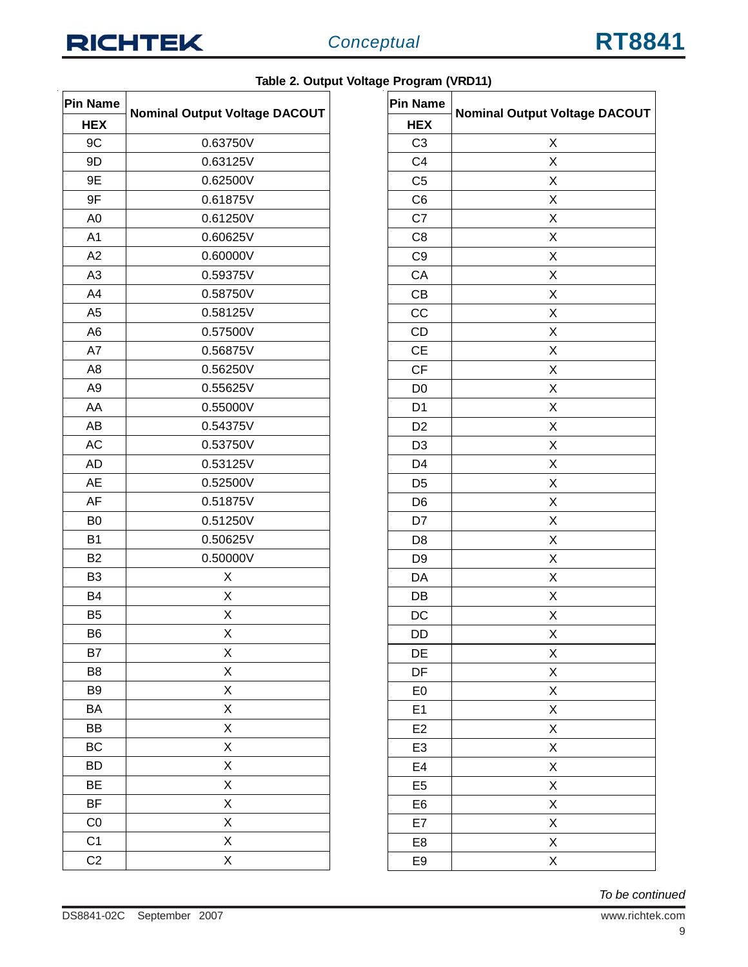| <b>Pin Name</b> |                                      |
|-----------------|--------------------------------------|
| <b>HEX</b>      | <b>Nominal Output Voltage DACOUT</b> |
| 9C              | 0.63750V                             |
| 9D              | 0.63125V                             |
| 9E              | 0.62500V                             |
| 9F              | 0.61875V                             |
| A <sub>0</sub>  | 0.61250V                             |
| A1              | 0.60625V                             |
| A <sub>2</sub>  | 0.60000V                             |
| A3              | 0.59375V                             |
| A4              | 0.58750V                             |
| A <sub>5</sub>  | 0.58125V                             |
| A <sub>6</sub>  | 0.57500V                             |
| A7              | 0.56875V                             |
| A <sub>8</sub>  | 0.56250V                             |
| A <sub>9</sub>  | 0.55625V                             |
| AA              | 0.55000V                             |
| AB              | 0.54375V                             |
| АC              | 0.53750V                             |
| <b>AD</b>       | 0.53125V                             |
| AE              | 0.52500V                             |
| AF              | 0.51875V                             |
| B <sub>0</sub>  | 0.51250V                             |
| B <sub>1</sub>  | 0.50625V                             |
| B <sub>2</sub>  | 0.50000V                             |
| B <sub>3</sub>  | Х                                    |
| <b>B4</b>       | Х                                    |
| B <sub>5</sub>  | Χ                                    |
| B <sub>6</sub>  | Χ                                    |
| B7              | Χ                                    |
| B8              | X                                    |
| B <sub>9</sub>  | X                                    |
| BA              | Χ                                    |
| BB              | X                                    |
| BC              | X                                    |
| BD              | X                                    |
| BE              | X                                    |
| ΒF              | X                                    |
| C <sub>0</sub>  | X                                    |
| C <sub>1</sub>  | Χ                                    |
| C <sub>2</sub>  | X                                    |

|  | Table 2. Output Voltage Program (VRD11) |  |
|--|-----------------------------------------|--|
|  |                                         |  |

| <b>Pin Name</b> | <b>Nominal Output Voltage DACOUT</b> |
|-----------------|--------------------------------------|
| <b>HEX</b>      |                                      |
| C <sub>3</sub>  | Χ                                    |
| C <sub>4</sub>  | X                                    |
| C <sub>5</sub>  | X                                    |
| C <sub>6</sub>  | Χ                                    |
| C7              | X                                    |
| C <sub>8</sub>  | X                                    |
| C <sub>9</sub>  | X                                    |
| CA              | X                                    |
| CB              | X                                    |
| CC              | X                                    |
| CD              | Χ                                    |
| <b>CE</b>       | X                                    |
| CF              | Χ                                    |
| D <sub>0</sub>  | X                                    |
| D <sub>1</sub>  | X                                    |
| D <sub>2</sub>  | X                                    |
| D <sub>3</sub>  | X                                    |
| D <sub>4</sub>  | X                                    |
| D <sub>5</sub>  | X                                    |
| D <sub>6</sub>  | Χ                                    |
| D7              | X                                    |
| D <sub>8</sub>  | X                                    |
| D <sub>9</sub>  | X                                    |
| DA              | Χ                                    |
| DB              | Χ                                    |
| DC              | X                                    |
| DD              | X                                    |
| DE              | Χ                                    |
| DF              | X                                    |
| E <sub>0</sub>  | X                                    |
| E1              | X                                    |
| E <sub>2</sub>  | X                                    |
| E <sub>3</sub>  | X                                    |
| E4              | $\overline{\mathsf{X}}$              |
| E <sub>5</sub>  | X                                    |
| E <sub>6</sub>  | X                                    |
| E7              | X                                    |
| E <sub>8</sub>  | X                                    |
| E9              | X                                    |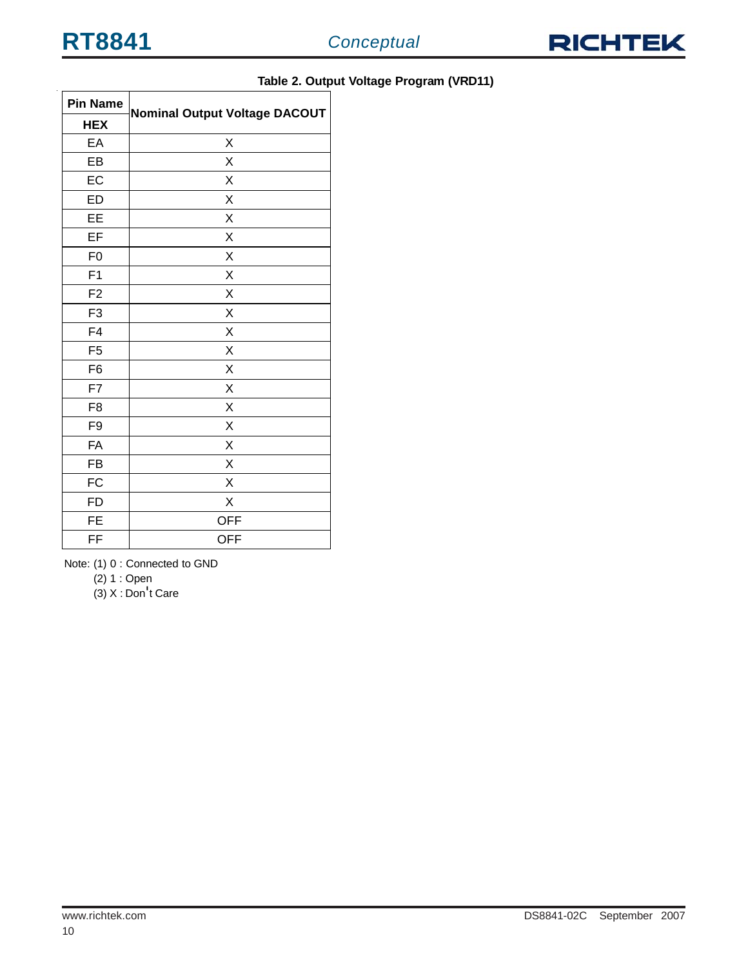

| <b>Pin Name</b> | <b>Nominal Output Voltage DACOUT</b> |
|-----------------|--------------------------------------|
| <b>HEX</b>      |                                      |
| EA              | X                                    |
| EB              | X                                    |
| EC              | Χ                                    |
| <b>ED</b>       | X                                    |
| EE              | X                                    |
| EF              | Χ                                    |
| F <sub>0</sub>  | Χ                                    |
| F <sub>1</sub>  | X                                    |
| F <sub>2</sub>  | X                                    |
| F <sub>3</sub>  | X                                    |
| F4              | X                                    |
| F <sub>5</sub>  | X                                    |
| F <sub>6</sub>  | X                                    |
| F7              | X                                    |
| F <sub>8</sub>  | X                                    |
| F9              | X                                    |
| FA              | Χ                                    |
| <b>FB</b>       | X                                    |
| <b>FC</b>       | X                                    |
| <b>FD</b>       | X                                    |
| <b>FE</b>       | <b>OFF</b>                           |
| FF              | <b>OFF</b>                           |

#### **Table 2. Output Voltage Program (VRD11)**

Note: (1) 0 : Connected to GND

(2) 1 : Open

 $(3)$  X : Don't Care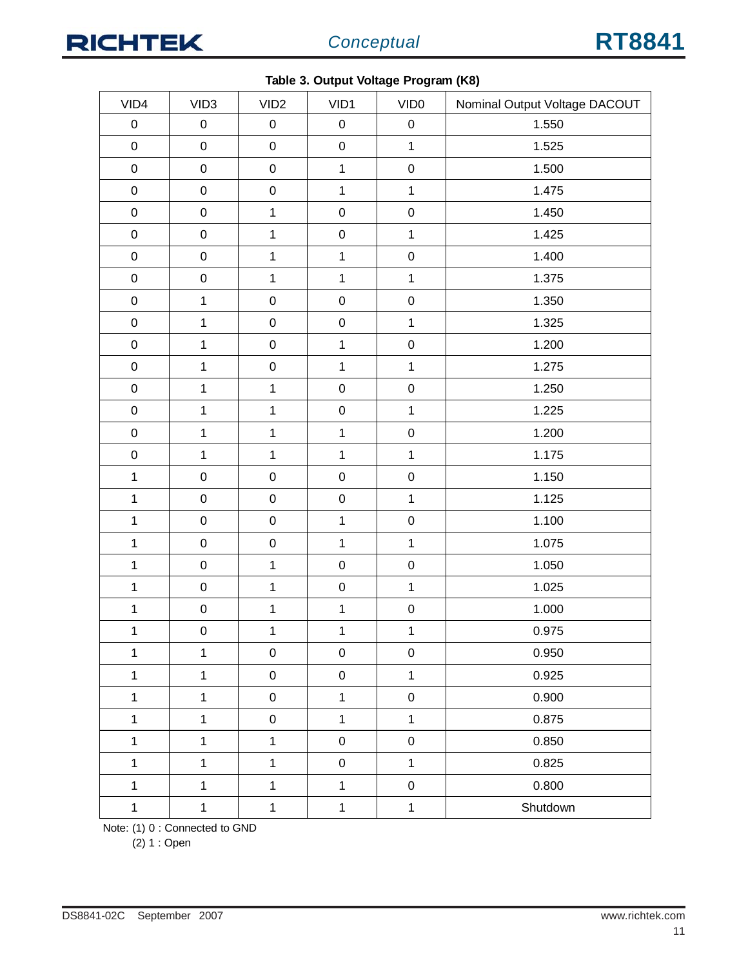

|                |                  |                  | , or carpar renage : 1 cg. and (1 to) |                     |                               |
|----------------|------------------|------------------|---------------------------------------|---------------------|-------------------------------|
| VID4           | VID <sub>3</sub> | VID <sub>2</sub> | VID1                                  | VID <sub>0</sub>    | Nominal Output Voltage DACOUT |
| $\pmb{0}$      | $\pmb{0}$        | $\pmb{0}$        | $\pmb{0}$                             | $\pmb{0}$           | 1.550                         |
| $\pmb{0}$      | $\mathsf 0$      | $\mathsf 0$      | $\mathbf 0$                           | $\mathbf{1}$        | 1.525                         |
| $\pmb{0}$      | ${\bf 0}$        | $\mathbf 0$      | $\mathbf{1}$                          | $\pmb{0}$           | 1.500                         |
| $\pmb{0}$      | $\mathsf 0$      | $\mathsf 0$      | $\mathbf{1}$                          | $\mathbf{1}$        | 1.475                         |
| $\mathbf 0$    | $\mathsf 0$      | $\mathbf 1$      | $\mathbf 0$                           | $\mathbf 0$         | 1.450                         |
| $\pmb{0}$      | $\pmb{0}$        | $\mathbf{1}$     | $\mathbf 0$                           | $\mathbf{1}$        | 1.425                         |
| $\mathbf 0$    | $\mathbf 0$      | $\mathbf 1$      | $\mathbf{1}$                          | $\mathbf 0$         | 1.400                         |
| $\mathbf 0$    | $\mathbf 0$      | $\mathbf{1}$     | $\mathbf{1}$                          | $\mathbf{1}$        | 1.375                         |
| $\mathbf 0$    | $\mathbf 1$      | $\mathbf 0$      | $\mathbf 0$                           | $\mathbf 0$         | 1.350                         |
| $\mathbf 0$    | $\mathbf{1}$     | $\mathsf 0$      | $\mathbf 0$                           | $\mathbf{1}$        | 1.325                         |
| $\mathbf 0$    | $\mathbf{1}$     | $\mathsf 0$      | $\mathbf 1$                           | $\mathbf 0$         | 1.200                         |
| $\mathbf 0$    | $\mathbf 1$      | $\mathbf 0$      | $\mathbf{1}$                          | $\mathbf{1}$        | 1.275                         |
| $\mathbf 0$    | $\mathbf 1$      | $\mathbf 1$      | $\mathbf 0$                           | $\mathbf 0$         | 1.250                         |
| $\mathbf 0$    | $\mathbf 1$      | $\mathbf{1}$     | $\mathbf 0$                           | $\mathbf{1}$        | 1.225                         |
| $\mathbf 0$    | $\mathbf{1}$     | $\mathbf 1$      | $\mathbf 1$                           | $\mathbf 0$         | 1.200                         |
| $\pmb{0}$      | $\mathbf{1}$     | $\mathbf{1}$     | $\mathbf{1}$                          | $\mathbf{1}$        | 1.175                         |
| $\mathbf{1}$   | $\mathbf 0$      | $\mathbf 0$      | $\pmb{0}$                             | $\mathbf 0$         | 1.150                         |
| $\mathbf{1}$   | $\mathbf 0$      | $\mathbf 0$      | $\mathbf 0$                           | $\mathbf{1}$        | 1.125                         |
| $\mathbf{1}$   | $\mathbf 0$      | $\mathbf 0$      | $\mathbf 1$                           | $\pmb{0}$           | 1.100                         |
| $\mathbf 1$    | $\mathbf 0$      | $\mathbf 0$      | $\mathbf 1$                           | $\mathbf{1}$        | 1.075                         |
| $\mathbf 1$    | $\mathbf 0$      | $\mathbf{1}$     | $\mathbf 0$                           | $\mathbf 0$         | 1.050                         |
| $\mathbf 1$    | $\mathbf 0$      | $\mathbf{1}$     | $\mathbf 0$                           | $\mathbf 1$         | 1.025                         |
| $\mathbf{1}$   | $\mathbf 0$      | $\mathbf 1$      | $\mathbf 1$                           | $\pmb{0}$           | 1.000                         |
| $\overline{1}$ | $\pmb{0}$        | $\overline{1}$   | $\overline{1}$                        | $\mathbf{1}$        | 0.975                         |
| $\mathbf{1}$   | $\mathbf{1}$     | $\mathbf 0$      | $\pmb{0}$                             | $\pmb{0}$           | 0.950                         |
| $\mathbf{1}$   | $\mathbf 1$      | $\mathbf 0$      | $\mathsf 0$                           | $\mathbf{1}$        | 0.925                         |
| $\mathbf{1}$   | $\overline{1}$   | $\mathsf 0$      | $\mathbf{1}$                          | $\mathsf{O}\xspace$ | 0.900                         |
| $\mathbf{1}$   | $\mathbf{1}$     | $\mathbf 0$      | $\mathbf{1}$                          | $\mathbf 1$         | 0.875                         |
| $\mathbf{1}$   | $\mathbf 1$      | $\mathbf{1}$     | $\mathsf 0$                           | $\mathbf 0$         | 0.850                         |
| $\mathbf{1}$   | $\mathbf{1}$     | $\mathbf{1}$     | $\mathsf 0$                           | $\mathbf 1$         | 0.825                         |
| $\mathbf{1}$   | $\mathbf{1}$     | $\mathbf{1}$     | $\mathbf 1$                           | $\pmb{0}$           | 0.800                         |
| $\ddagger$     | $\mathbf{1}$     | $\ddagger$       | $\mathbf{1}$                          | $\mathbf{1}$        | Shutdown                      |

|  |  | Table 3. Output Voltage Program (K8) |  |
|--|--|--------------------------------------|--|

Note: (1) 0 : Connected to GND

(2) 1 : Open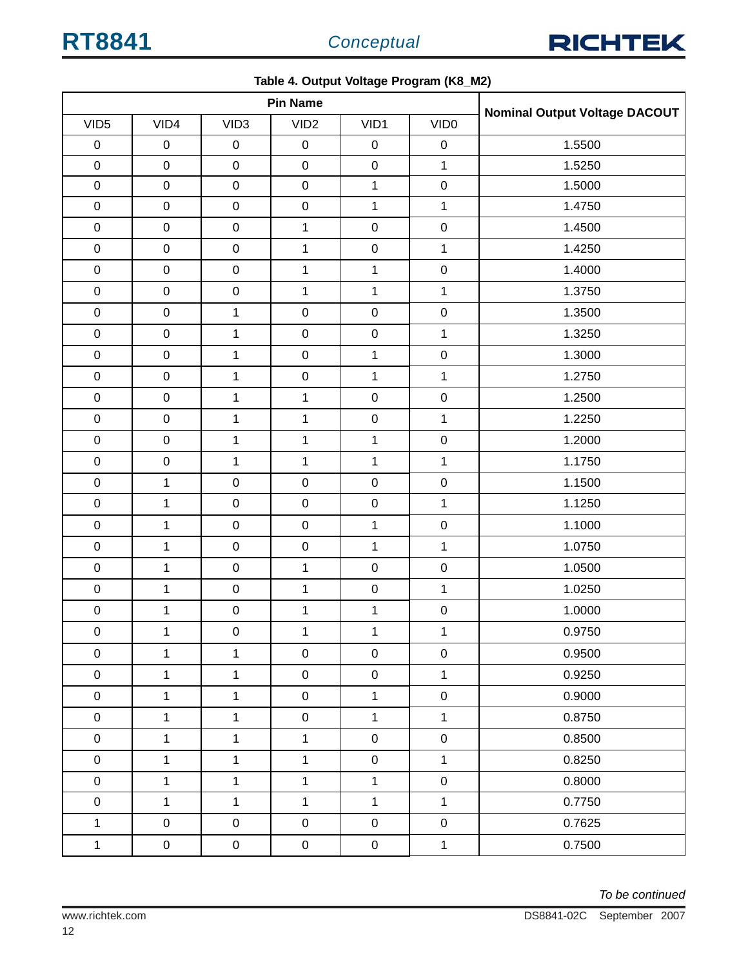

|                  | . as capat to have the control of the control of the control of the control of the control of the control of the control of the control of the control of the control of the control of the control of the control of the cont |                  |                  |                     |                  |                                      |
|------------------|--------------------------------------------------------------------------------------------------------------------------------------------------------------------------------------------------------------------------------|------------------|------------------|---------------------|------------------|--------------------------------------|
|                  |                                                                                                                                                                                                                                |                  | <b>Pin Name</b>  |                     |                  | <b>Nominal Output Voltage DACOUT</b> |
| VID <sub>5</sub> | VID4                                                                                                                                                                                                                           | VID <sub>3</sub> | VID <sub>2</sub> | VID1                | VID <sub>0</sub> |                                      |
| $\pmb{0}$        | $\pmb{0}$                                                                                                                                                                                                                      | $\pmb{0}$        | $\pmb{0}$        | $\pmb{0}$           | $\pmb{0}$        | 1.5500                               |
| $\mathbf 0$      | $\pmb{0}$                                                                                                                                                                                                                      | $\pmb{0}$        | $\mathbf 0$      | $\pmb{0}$           | $\mathbf{1}$     | 1.5250                               |
| $\pmb{0}$        | $\pmb{0}$                                                                                                                                                                                                                      | $\mathbf 0$      | $\mathbf 0$      | $\mathbf{1}$        | $\mathbf 0$      | 1.5000                               |
| $\pmb{0}$        | $\boldsymbol{0}$                                                                                                                                                                                                               | $\pmb{0}$        | $\mathbf 0$      | $\mathbf{1}$        | $\mathbf{1}$     | 1.4750                               |
| $\mathbf 0$      | $\boldsymbol{0}$                                                                                                                                                                                                               | $\mathbf 0$      | 1                | $\mathbf 0$         | $\mathbf 0$      | 1.4500                               |
| $\mathbf 0$      | $\mathsf 0$                                                                                                                                                                                                                    | $\mathbf 0$      | $\mathbf 1$      | $\pmb{0}$           | $\mathbf{1}$     | 1.4250                               |
| $\mathbf 0$      | $\pmb{0}$                                                                                                                                                                                                                      | $\mathbf 0$      | $\mathbf{1}$     | $\mathbf{1}$        | $\mathbf 0$      | 1.4000                               |
| $\pmb{0}$        | $\pmb{0}$                                                                                                                                                                                                                      | $\mathbf 0$      | $\mathbf{1}$     | $\mathbf{1}$        | $\mathbf{1}$     | 1.3750                               |
| $\mathbf 0$      | $\boldsymbol{0}$                                                                                                                                                                                                               | $\mathbf{1}$     | $\mathbf 0$      | $\mathbf 0$         | $\mathbf 0$      | 1.3500                               |
| $\mathbf 0$      | $\pmb{0}$                                                                                                                                                                                                                      | $\mathbf{1}$     | $\mathbf 0$      | $\pmb{0}$           | $\mathbf{1}$     | 1.3250                               |
| $\mathbf 0$      | $\boldsymbol{0}$                                                                                                                                                                                                               | $\mathbf{1}$     | $\mathbf 0$      | $\mathbf{1}$        | $\mathbf 0$      | 1.3000                               |
| $\mathbf 0$      | $\boldsymbol{0}$                                                                                                                                                                                                               | $\mathbf{1}$     | $\mathbf 0$      | $\mathbf{1}$        | $\mathbf{1}$     | 1.2750                               |
| $\mathbf 0$      | $\pmb{0}$                                                                                                                                                                                                                      | $\mathbf{1}$     | $\mathbf{1}$     | $\mathbf 0$         | $\mathbf 0$      | 1.2500                               |
| $\mathbf 0$      | $\boldsymbol{0}$                                                                                                                                                                                                               | $\mathbf{1}$     | $\mathbf{1}$     | $\mathbf 0$         | $\mathbf{1}$     | 1.2250                               |
| $\mathbf 0$      | $\pmb{0}$                                                                                                                                                                                                                      | $\mathbf{1}$     | $\mathbf{1}$     | $\mathbf{1}$        | $\mathbf 0$      | 1.2000                               |
| $\mathbf 0$      | $\boldsymbol{0}$                                                                                                                                                                                                               | $\mathbf{1}$     | $\mathbf{1}$     | $\mathbf{1}$        | $\mathbf{1}$     | 1.1750                               |
| $\mathbf 0$      | $\mathbf{1}$                                                                                                                                                                                                                   | $\mathbf 0$      | $\mathbf 0$      | $\pmb{0}$           | $\pmb{0}$        | 1.1500                               |
| $\mathbf 0$      | $\mathbf 1$                                                                                                                                                                                                                    | $\pmb{0}$        | $\mathbf 0$      | $\mathbf 0$         | $\mathbf{1}$     | 1.1250                               |
| $\mathbf 0$      | $\mathbf{1}$                                                                                                                                                                                                                   | $\pmb{0}$        | $\mathsf 0$      | $\mathbf{1}$        | $\mathbf 0$      | 1.1000                               |
| $\mathbf 0$      | $\mathbf{1}$                                                                                                                                                                                                                   | $\mathbf 0$      | $\pmb{0}$        | $\mathbf{1}$        | $\mathbf{1}$     | 1.0750                               |
| $\mathbf 0$      | $\mathbf{1}$                                                                                                                                                                                                                   | $\pmb{0}$        | $\mathbf{1}$     | $\pmb{0}$           | $\pmb{0}$        | 1.0500                               |
| $\mathbf 0$      | $\mathbf 1$                                                                                                                                                                                                                    | $\mathbf 0$      | $\mathbf{1}$     | $\pmb{0}$           | $\mathbf{1}$     | 1.0250                               |
| $\mathbf 0$      | $\mathbf 1$                                                                                                                                                                                                                    | $\mathbf 0$      | $\mathbf{1}$     | $\mathbf{1}$        | $\pmb{0}$        | 1.0000                               |
| $\pmb{0}$        | $\mathbf{1}$                                                                                                                                                                                                                   | ${\bf 0}$        | $\mathbf{1}$     | $\mathbf 1$         | $\overline{1}$   | 0.9750                               |
| $\pmb{0}$        | $\mathbf{1}$                                                                                                                                                                                                                   | $\mathbf{1}$     | $\pmb{0}$        | $\mathsf{O}\xspace$ | $\pmb{0}$        | 0.9500                               |
| $\pmb{0}$        | $\mathbf 1$                                                                                                                                                                                                                    | $\mathbf{1}$     | $\pmb{0}$        | $\pmb{0}$           | $\mathbf{1}$     | 0.9250                               |
| $\mathbf 0$      | $\mathbf 1$                                                                                                                                                                                                                    | $\mathbf{1}$     | $\pmb{0}$        | $\mathbf{1}$        | $\mathbf 0$      | 0.9000                               |
| $\mathbf 0$      | $\mathbf{1}$                                                                                                                                                                                                                   | $\mathbf{1}$     | $\pmb{0}$        | $\mathbf{1}$        | $\mathbf{1}$     | 0.8750                               |
| $\mathbf 0$      | $\mathbf 1$                                                                                                                                                                                                                    | $\mathbf{1}$     | $\mathbf{1}$     | $\mathbf 0$         | $\mathbf 0$      | 0.8500                               |
| $\mathbf 0$      | $\mathbf{1}$                                                                                                                                                                                                                   | $\mathbf{1}$     | $\mathbf{1}$     | $\pmb{0}$           | $\mathbf{1}$     | 0.8250                               |
| $\boldsymbol{0}$ | $\mathbf{1}$                                                                                                                                                                                                                   | $\mathbf{1}$     | $\mathbf{1}$     | $\mathbf{1}$        | $\mathbf 0$      | 0.8000                               |
| $\mathbf 0$      | $\mathbf 1$                                                                                                                                                                                                                    | $\mathbf{1}$     | $\mathbf{1}$     | $\mathbf{1}$        | $\mathbf{1}$     | 0.7750                               |
| $\mathbf{1}$     | $\mathbf 0$                                                                                                                                                                                                                    | $\pmb{0}$        | $\mathbf 0$      | $\mathbf 0$         | $\pmb{0}$        | 0.7625                               |
| $\mathbf{1}$     | $\mathbf 0$                                                                                                                                                                                                                    | $\boldsymbol{0}$ | $\mathbf 0$      | $\pmb{0}$           | $\mathbf{1}$     | 0.7500                               |

**Table 4. Output Voltage Program (K8\_M2)**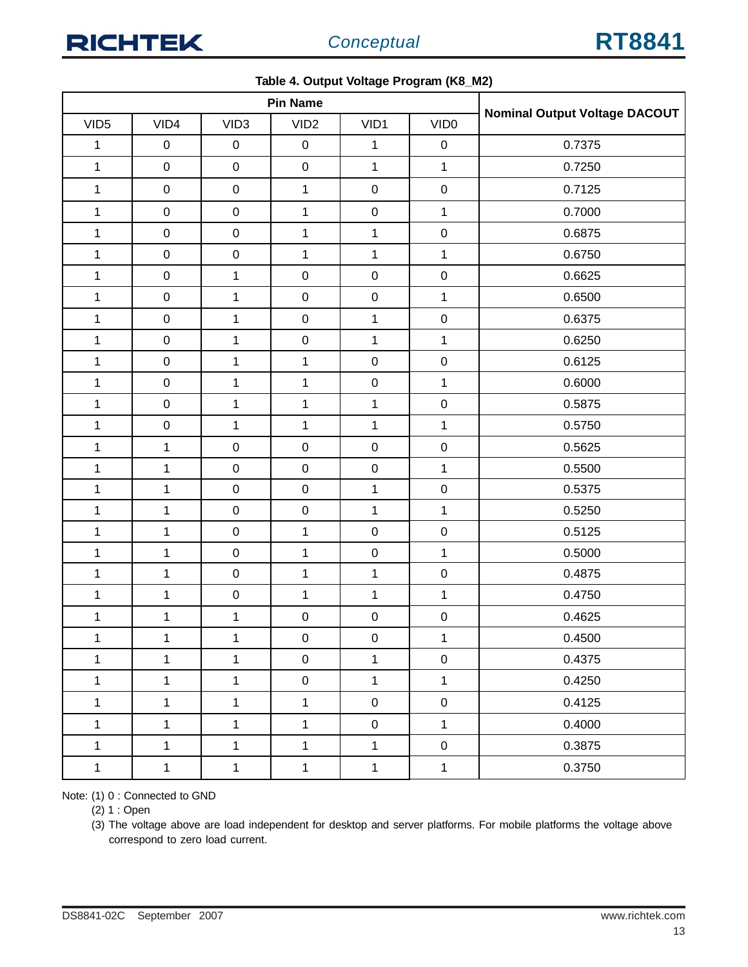|                  |                  |                  | <b>Pin Name</b>  | -            |                  |                                      |
|------------------|------------------|------------------|------------------|--------------|------------------|--------------------------------------|
| VID <sub>5</sub> | VID4             | VID <sub>3</sub> | VID <sub>2</sub> | VID1         | VID <sub>0</sub> | <b>Nominal Output Voltage DACOUT</b> |
| $\mathbf 1$      | $\pmb{0}$        | $\pmb{0}$        | $\mathbf 0$      | $\mathbf{1}$ | $\pmb{0}$        | 0.7375                               |
| $\mathbf 1$      | $\boldsymbol{0}$ | $\pmb{0}$        | $\mathsf 0$      | $\mathbf{1}$ | $\mathbf{1}$     | 0.7250                               |
| $\mathbf 1$      | $\boldsymbol{0}$ | $\pmb{0}$        | $\mathbf{1}$     | $\pmb{0}$    | $\mathbf 0$      | 0.7125                               |
| $\mathbf{1}$     | $\boldsymbol{0}$ | $\pmb{0}$        | $\mathbf 1$      | $\pmb{0}$    | $\mathbf{1}$     | 0.7000                               |
| $\mathbf{1}$     | $\boldsymbol{0}$ | $\pmb{0}$        | $\mathbf{1}$     | $\mathbf{1}$ | $\pmb{0}$        | 0.6875                               |
| $\mathbf{1}$     | $\pmb{0}$        | $\mathbf 0$      | $\mathbf{1}$     | $\mathbf{1}$ | $\mathbf{1}$     | 0.6750                               |
| $\mathbf{1}$     | $\pmb{0}$        | $\mathbf{1}$     | $\mathbf 0$      | $\pmb{0}$    | $\mathbf 0$      | 0.6625                               |
| $\mathbf{1}$     | $\pmb{0}$        | $\mathbf{1}$     | $\mathbf 0$      | $\pmb{0}$    | $\mathbf 1$      | 0.6500                               |
| $\mathbf 1$      | $\boldsymbol{0}$ | $\mathbf{1}$     | $\mathbf 0$      | $\mathbf 1$  | $\mathbf 0$      | 0.6375                               |
| $\mathbf{1}$     | $\boldsymbol{0}$ | $\mathbf{1}$     | $\mathbf 0$      | $\mathbf 1$  | $\mathbf{1}$     | 0.6250                               |
| $\mathbf{1}$     | $\boldsymbol{0}$ | $\mathbf{1}$     | $\mathbf{1}$     | $\pmb{0}$    | ${\bf 0}$        | 0.6125                               |
| $\mathbf{1}$     | $\pmb{0}$        | $\mathbf{1}$     | $\mathbf{1}$     | $\pmb{0}$    | 1                | 0.6000                               |
| $\mathbf{1}$     | $\mathbf 0$      | $\mathbf{1}$     | $\mathbf{1}$     | $\mathbf 1$  | $\mathbf 0$      | 0.5875                               |
| $\mathbf{1}$     | $\mathbf 0$      | $\mathbf{1}$     | $\mathbf{1}$     | $\mathbf{1}$ | $\mathbf{1}$     | 0.5750                               |
| $\mathbf{1}$     | $\mathbf 1$      | $\mathbf 0$      | $\mathbf 0$      | $\pmb{0}$    | $\mathbf 0$      | 0.5625                               |
| $\mathbf 1$      | $\mathbf 1$      | $\mathsf 0$      | $\pmb{0}$        | $\pmb{0}$    | $\mathbf{1}$     | 0.5500                               |
| $\mathbf{1}$     | $\mathbf{1}$     | $\mathbf 0$      | $\mathbf 0$      | $\mathbf{1}$ | $\mathbf 0$      | 0.5375                               |
| $\mathbf 1$      | $\mathbf 1$      | $\mathbf 0$      | $\mathbf 0$      | $\mathbf 1$  | $\mathbf{1}$     | 0.5250                               |
| $\mathbf{1}$     | $\mathbf 1$      | $\mathbf 0$      | $\mathbf 1$      | $\pmb{0}$    | $\mathbf 0$      | 0.5125                               |
| $\mathbf{1}$     | $\mathbf 1$      | $\mathbf 0$      | $\mathbf 1$      | $\pmb{0}$    | $\mathbf{1}$     | 0.5000                               |
| $\mathbf{1}$     | $\mathbf{1}$     | $\pmb{0}$        | $\mathbf{1}$     | $\mathbf{1}$ | $\pmb{0}$        | 0.4875                               |
| $\mathbf{1}$     | $\mathbf 1$      | $\mathbf 0$      | $\mathbf{1}$     | $\mathbf{1}$ | $\mathbf{1}$     | 0.4750                               |
| $\mathbf 1$      | $\mathbf 1$      | $\mathbf{1}$     | $\mathbf 0$      | $\pmb{0}$    | $\mathbf 0$      | 0.4625                               |
| 1                | 1                | 1                | 0                | 0            | 1                | 0.4500                               |
| $\mathbf{1}$     | $\mathbf{1}$     | $\mathbf{1}$     | $\mathbf 0$      | $\mathbf{1}$ | $\mathbf 0$      | 0.4375                               |
| $\mathbf 1$      | $\mathbf{1}$     | $\mathbf{1}$     | $\pmb{0}$        | $\mathbf{1}$ | $\mathbf{1}$     | 0.4250                               |
| $\mathbf{1}$     | $\mathbf{1}$     | $\mathbf{1}$     | $\mathbf{1}$     | $\mathbf 0$  | $\mathbf 0$      | 0.4125                               |
| $\mathbf{1}$     | $\mathbf{1}$     | $\mathbf{1}$     | $\mathbf{1}$     | $\mathbf 0$  | $\mathbf{1}$     | 0.4000                               |
| $\mathbf{1}$     | $\mathbf{1}$     | $\mathbf{1}$     | $\mathbf{1}$     | $\mathbf{1}$ | $\pmb{0}$        | 0.3875                               |
| $\mathbf{1}$     | $\mathbf 1$      | $\mathbf 1$      | $\mathbf{1}$     | $\mathbf 1$  | $\mathbf 1$      | 0.3750                               |

#### **Table 4. Output Voltage Program (K8\_M2)**

Note: (1) 0 : Connected to GND

(2) 1 : Open

(3) The voltage above are load independent for desktop and server platforms. For mobile platforms the voltage above correspond to zero load current.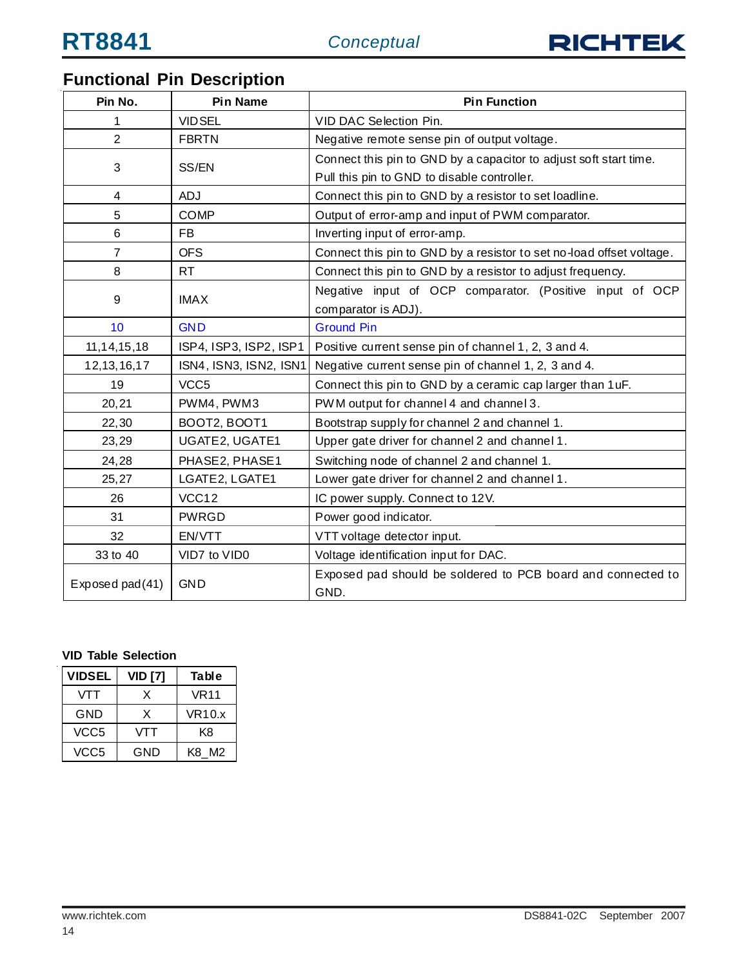

## **Functional Pin Description**

| Pin No.         | <b>Pin Name</b>        | <b>Pin Function</b>                                                  |  |  |  |
|-----------------|------------------------|----------------------------------------------------------------------|--|--|--|
| 1               | <b>VIDSEL</b>          | VID DAC Selection Pin.                                               |  |  |  |
| $\overline{2}$  | <b>FBRTN</b>           | Negative remote sense pin of output voltage.                         |  |  |  |
| 3               | SS/EN                  | Connect this pin to GND by a capacitor to adjust soft start time.    |  |  |  |
|                 |                        | Pull this pin to GND to disable controller.                          |  |  |  |
| 4               | <b>ADJ</b>             | Connect this pin to GND by a resistor to set loadline.               |  |  |  |
| 5               | <b>COMP</b>            | Output of error-amp and input of PWM comparator.                     |  |  |  |
| 6               | <b>FB</b>              | Inverting input of error-amp.                                        |  |  |  |
| $\overline{7}$  | <b>OFS</b>             | Connect this pin to GND by a resistor to set no-load offset voltage. |  |  |  |
| 8               | RT                     | Connect this pin to GND by a resistor to adjust frequency.           |  |  |  |
|                 |                        | Negative input of OCP comparator. (Positive input of OCP             |  |  |  |
| 9               | <b>IMAX</b>            | comparator is ADJ).                                                  |  |  |  |
| 10              | <b>GND</b>             | <b>Ground Pin</b>                                                    |  |  |  |
| 11, 14, 15, 18  | ISP4, ISP3, ISP2, ISP1 | Positive current sense pin of channel 1, 2, 3 and 4.                 |  |  |  |
| 12, 13, 16, 17  | ISN4, ISN3, ISN2, ISN1 | Negative current sense pin of channel 1, 2, 3 and 4.                 |  |  |  |
| 19              | VCC <sub>5</sub>       | Connect this pin to GND by a ceramic cap larger than 1 uF.           |  |  |  |
| 20,21           | PWM4, PWM3             | PWM output for channel 4 and channel 3.                              |  |  |  |
| 22,30           | BOOT2, BOOT1           | Bootstrap supply for channel 2 and channel 1.                        |  |  |  |
| 23,29           | UGATE2, UGATE1         | Upper gate driver for channel 2 and channel 1.                       |  |  |  |
| 24,28           | PHASE2, PHASE1         | Switching node of channel 2 and channel 1.                           |  |  |  |
| 25,27           | LGATE2, LGATE1         | Lower gate driver for channel 2 and channel 1.                       |  |  |  |
| 26              | VCC12                  | IC power supply. Connect to 12V.                                     |  |  |  |
| 31              | <b>PWRGD</b>           | Power good indicator.                                                |  |  |  |
| 32              | EN/VTT                 | VTT voltage detector input.                                          |  |  |  |
| 33 to 40        | VID7 to VID0           | Voltage identification input for DAC.                                |  |  |  |
| Exposed pad(41) | <b>GND</b>             | Exposed pad should be soldered to PCB board and connected to<br>GND. |  |  |  |

#### **VID Table Selection**

| <b>VIDSEL</b>    | <b>VID [7]</b> | Table         |
|------------------|----------------|---------------|
| VTT              | x              | <b>VR11</b>   |
| GND              | X              | <b>VR10.x</b> |
| VCC <sub>5</sub> | VTT            | K8            |
| VCC5             | GND            | K8 M2         |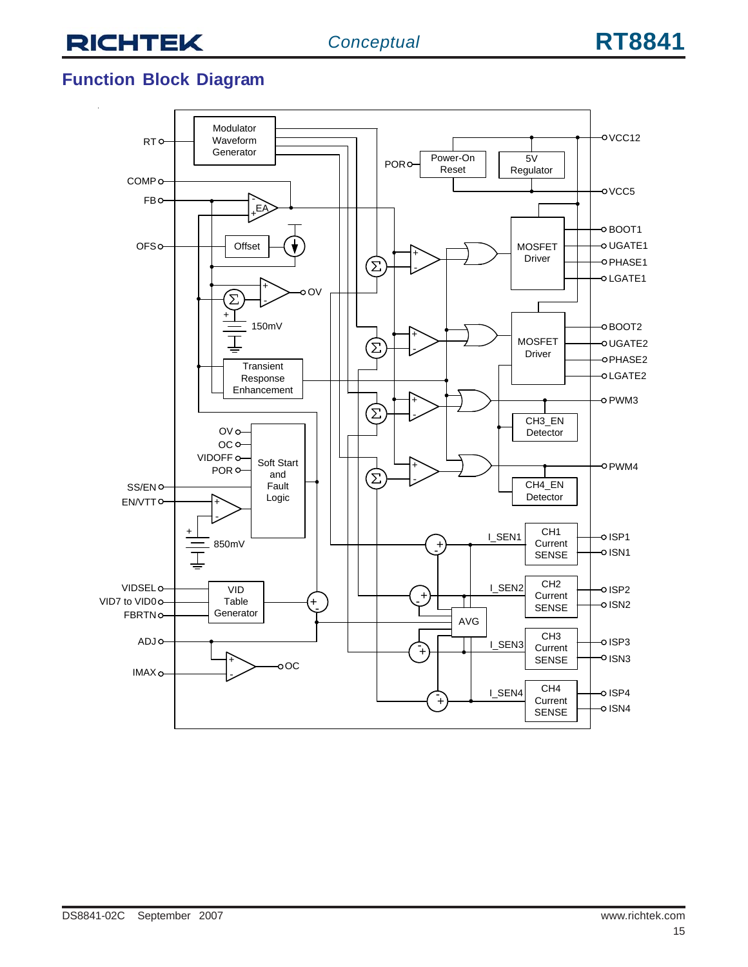## **Function Block Diagram**

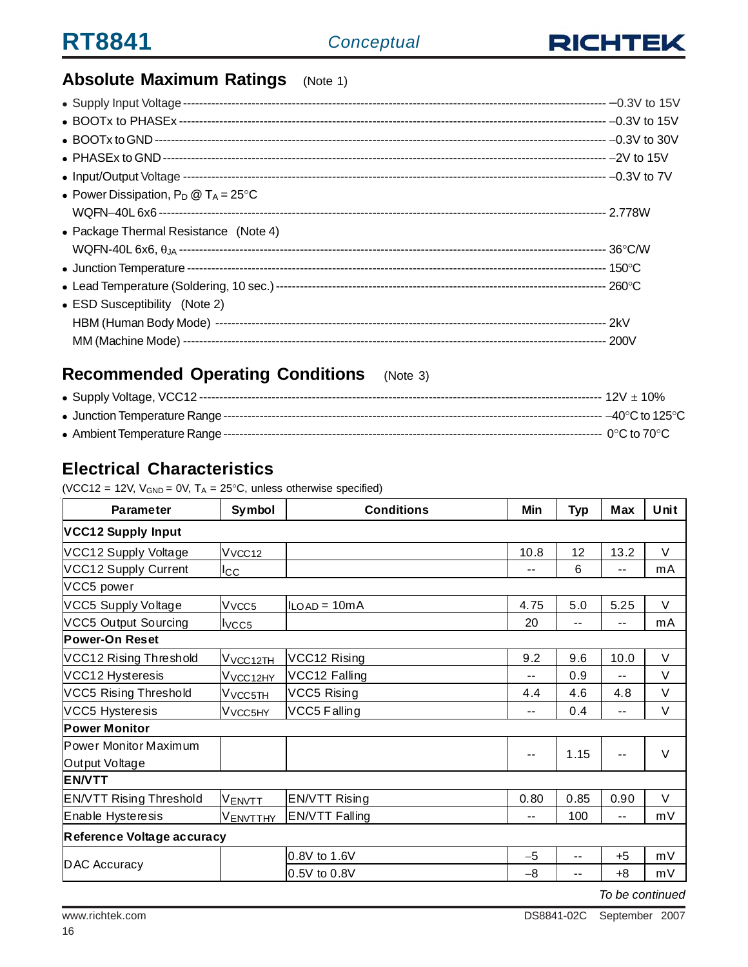

## **Absolute Maximum Ratings** (Note 1)

| • Power Dissipation, $P_D @ T_A = 25^{\circ}C$ |  |
|------------------------------------------------|--|
|                                                |  |
| • Package Thermal Resistance (Note 4)          |  |
|                                                |  |
|                                                |  |
|                                                |  |
| • ESD Susceptibility (Note 2)                  |  |
|                                                |  |
|                                                |  |

## **Recommended Operating Conditions** (Note 3)

## **Electrical Characteristics**

(VCC12 = 12V,  $V_{GND} = 0V$ ,  $T_A = 25^{\circ}C$ , unless otherwise specified)

| <b>Parameter</b>               | Symbol                      | <b>Conditions</b>     | Min   | <b>Typ</b> | Max   | Unit   |
|--------------------------------|-----------------------------|-----------------------|-------|------------|-------|--------|
| <b>VCC12 Supply Input</b>      |                             |                       |       |            |       |        |
| VCC12 Supply Voltage           | V <sub>VCC12</sub>          |                       | 10.8  | 12         | 13.2  | V      |
| <b>VCC12 Supply Current</b>    | $_{\rm lcc}$                |                       | --    | 6          | ۰.    | mA     |
| VCC5 power                     |                             |                       |       |            |       |        |
| VCC5 Supply Voltage            | V <sub>VCC5</sub>           | $ILOAD = 10mA$        | 4.75  | 5.0        | 5.25  | $\vee$ |
| <b>VCC5 Output Sourcing</b>    | I <sub>VCC5</sub>           |                       | 20    | $-$        | --    | mA     |
| Power-On Reset                 |                             |                       |       |            |       |        |
| VCC12 Rising Threshold         | V <sub>VCC12TH</sub>        | VCC12 Rising          | 9.2   | 9.6        | 10.0  | $\vee$ |
| VCC12 Hysteresis               | V <sub>VCC12HY</sub>        | VCC12 Falling         | --    | 0.9        | $- -$ | $\vee$ |
| <b>VCC5 Rising Threshold</b>   | V <sub>VCC5TH</sub>         | VCC5 Rising           | 4.4   | 4.6        | 4.8   | V      |
| <b>VCC5 Hysteresis</b>         | <b>V</b> vcc <sub>5HY</sub> | VCC5 Falling          | --    | 0.4        | --    | $\vee$ |
| <b>Power Monitor</b>           |                             |                       |       |            |       |        |
| Power Monitor Maximum          |                             |                       | --    | 1.15       |       | $\vee$ |
| Output Voltage                 |                             |                       |       |            |       |        |
| <b>EN/VTT</b>                  |                             |                       |       |            |       |        |
| <b>EN/VTT Rising Threshold</b> | <b>VENVTT</b>               | <b>EN/VTT Rising</b>  | 0.80  | 0.85       | 0.90  | $\vee$ |
| Enable Hysteresis              | VENVTTHY                    | <b>EN/VTT Falling</b> | $- -$ | 100        | $- -$ | mV     |
| Reference Voltage accuracy     |                             |                       |       |            |       |        |
|                                |                             | 0.8V to 1.6V          | $-5$  | --         | $+5$  | mV     |
| DAC Accuracy                   |                             | 0.5V to 0.8V          | -8    | --         | $+8$  | mV     |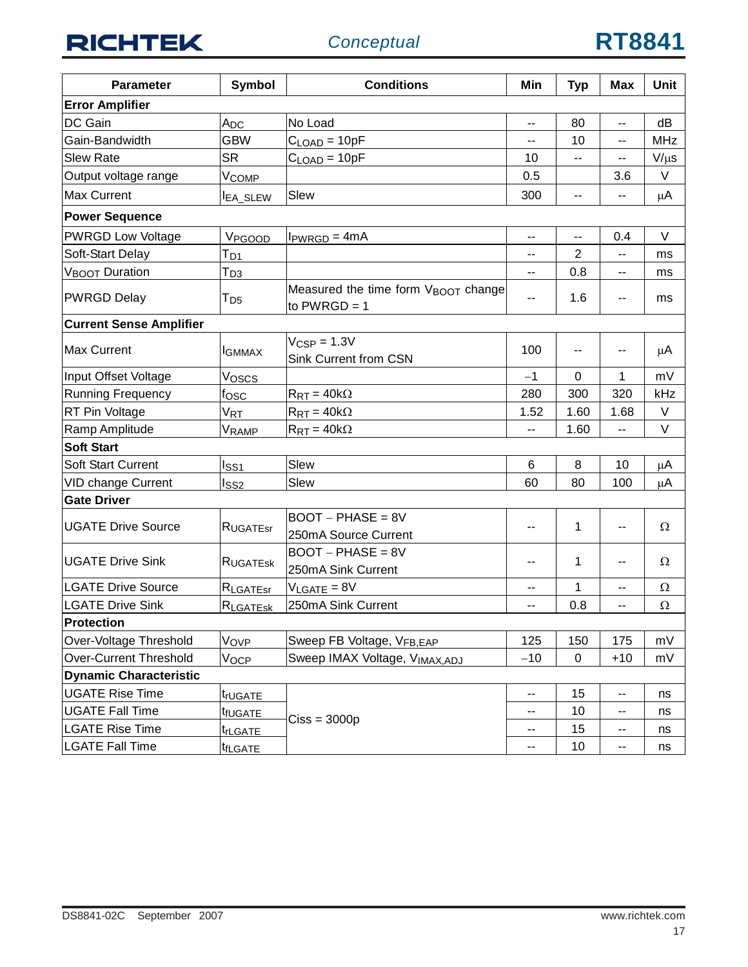| <b>Parameter</b>               | Symbol              | <b>Conditions</b>                                                 | Min                      | <b>Typ</b>     | <b>Max</b> | <b>Unit</b> |
|--------------------------------|---------------------|-------------------------------------------------------------------|--------------------------|----------------|------------|-------------|
| <b>Error Amplifier</b>         |                     |                                                                   |                          |                |            |             |
| DC Gain                        | A <sub>DC</sub>     | No Load                                                           | $-$                      | 80             | $-$        | dB          |
| Gain-Bandwidth                 | <b>GBW</b>          | $CLOAD = 10pF$                                                    | --                       | 10             | --         | <b>MHz</b>  |
| <b>Slew Rate</b>               | <b>SR</b>           | $C_{\text{LOAD}} = 10pF$                                          | 10                       | --             | --         | $V/\mu s$   |
| Output voltage range           | V <sub>COMP</sub>   |                                                                   | 0.5                      |                | 3.6        | V           |
| Max Current                    | <b>IEA_SLEW</b>     | Slew                                                              | 300                      | --             | --         | μA          |
| <b>Power Sequence</b>          |                     |                                                                   |                          |                |            |             |
| <b>PWRGD Low Voltage</b>       | V <sub>PGOOD</sub>  | $IPWRGD = 4mA$                                                    | $\overline{\phantom{a}}$ | --             | 0.4        | V           |
| Soft-Start Delay               | T <sub>D1</sub>     |                                                                   |                          | $\overline{2}$ | --         | ms          |
| V <sub>BOOT</sub> Duration     | Трз                 |                                                                   | --                       | 0.8            | --         | ms          |
| <b>PWRGD Delay</b>             | T <sub>D5</sub>     | Measured the time form V <sub>BOOT</sub> change<br>to $PWRGD = 1$ |                          | 1.6            | --         | ms          |
| <b>Current Sense Amplifier</b> |                     |                                                                   |                          |                |            |             |
| Max Current                    | <b>I</b> GMMAX      | $V_{CSP} = 1.3V$<br><b>Sink Current from CSN</b>                  | 100                      | ۰.             |            | μA          |
| Input Offset Voltage           | Voscs               |                                                                   | $-1$                     | 0              | 1          | mV          |
| <b>Running Frequency</b>       | fosc                | $R_{RT} = 40k\Omega$                                              | 280                      | 300            | 320        | kHz         |
| RT Pin Voltage                 | V <sub>RT</sub>     | $R_{RT} = 40k\Omega$                                              | 1.52                     | 1.60           | 1.68       | V           |
| Ramp Amplitude                 | VRAMP               | $R_{RT} = 40k\Omega$                                              | $\overline{a}$           | 1.60           | --         | V           |
| <b>Soft Start</b>              |                     |                                                                   |                          |                |            |             |
| <b>Soft Start Current</b>      | Iss1                | Slew                                                              | $6\phantom{1}$           | 8              | 10         | μA          |
| <b>VID change Current</b>      | lss2                | Slew                                                              | 60                       | 80             | 100        | μA          |
| <b>Gate Driver</b>             |                     |                                                                   |                          |                |            |             |
| <b>UGATE Drive Source</b>      | RUGATEST            | $BOOT - PHASE = 8V$<br>250mA Source Current                       | ۰.                       | 1              | --         | $\Omega$    |
| <b>UGATE Drive Sink</b>        | RUGATESK            | $BOOT - PHASE = 8V$<br>250mA Sink Current                         | --                       | 1              | -−         | $\Omega$    |
| <b>LGATE Drive Source</b>      | <b>RLGATEST</b>     | $V_{LGATE} = 8V$                                                  | ۰.                       | 1              | --         | Ω           |
| <b>LGATE Drive Sink</b>        | RLGATESK            | 250mA Sink Current                                                | --                       | 0.8            | --         | Ω           |
| <b>Protection</b>              |                     |                                                                   |                          |                |            |             |
| Over-Voltage Threshold         | VOVP                | Sweep FB Voltage, VFB, EAP                                        | 125                      | 150            | 175        | mV          |
| <b>Over-Current Threshold</b>  | VOCP                | Sweep IMAX Voltage, VIMAX.ADJ                                     | $-10$                    | 0              | $+10$      | mV          |
| <b>Dynamic Characteristic</b>  |                     |                                                                   |                          |                |            |             |
| <b>UGATE Rise Time</b>         | <sup>t</sup> r∪GATE |                                                                   | --                       | 15             | --         | ns          |
| <b>UGATE Fall Time</b>         | t <sub>fUGATE</sub> | $Ciss = 3000p$                                                    | --                       | 10             | --         | ns          |
| <b>LGATE Rise Time</b>         | t <sub>rLGATE</sub> |                                                                   | --                       | 15             | --         | ns          |
| <b>LGATE Fall Time</b>         | t <sub>fLGATE</sub> |                                                                   | --                       | 10             | --         | ns          |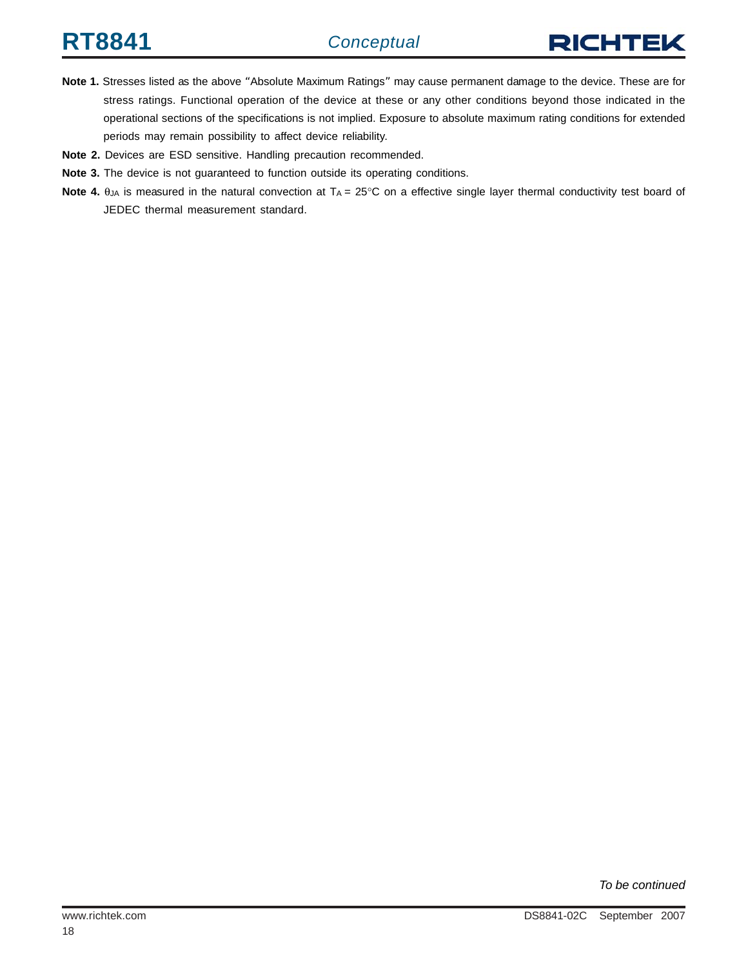

- **Note 1.** Stresses listed as the above "Absolute Maximum Ratings" may cause permanent damage to the device. These are for stress ratings. Functional operation of the device at these or any other conditions beyond those indicated in the operational sections of the specifications is not implied. Exposure to absolute maximum rating conditions for extended periods may remain possibility to affect device reliability.
- **Note 2.** Devices are ESD sensitive. Handling precaution recommended.
- **Note 3.** The device is not guaranteed to function outside its operating conditions.
- **Note 4.**  $\theta_{JA}$  is measured in the natural convection at  $T_A = 25^\circ \text{C}$  on a effective single layer thermal conductivity test board of JEDEC thermal measurement standard.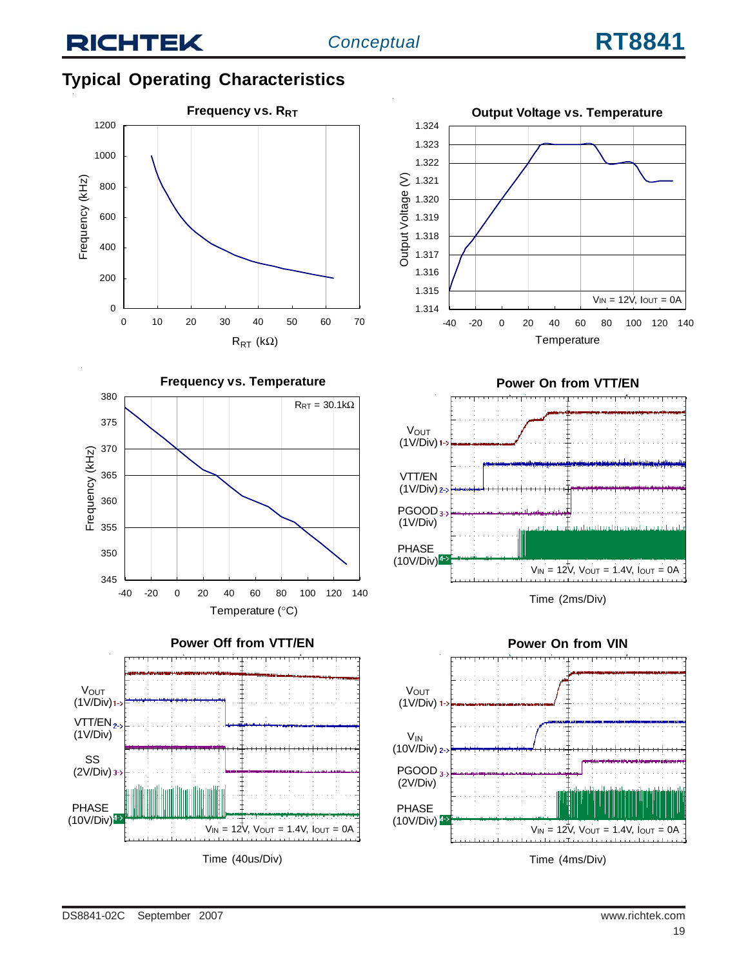### **Typical Operating Characteristics**











Time (2ms/Div)

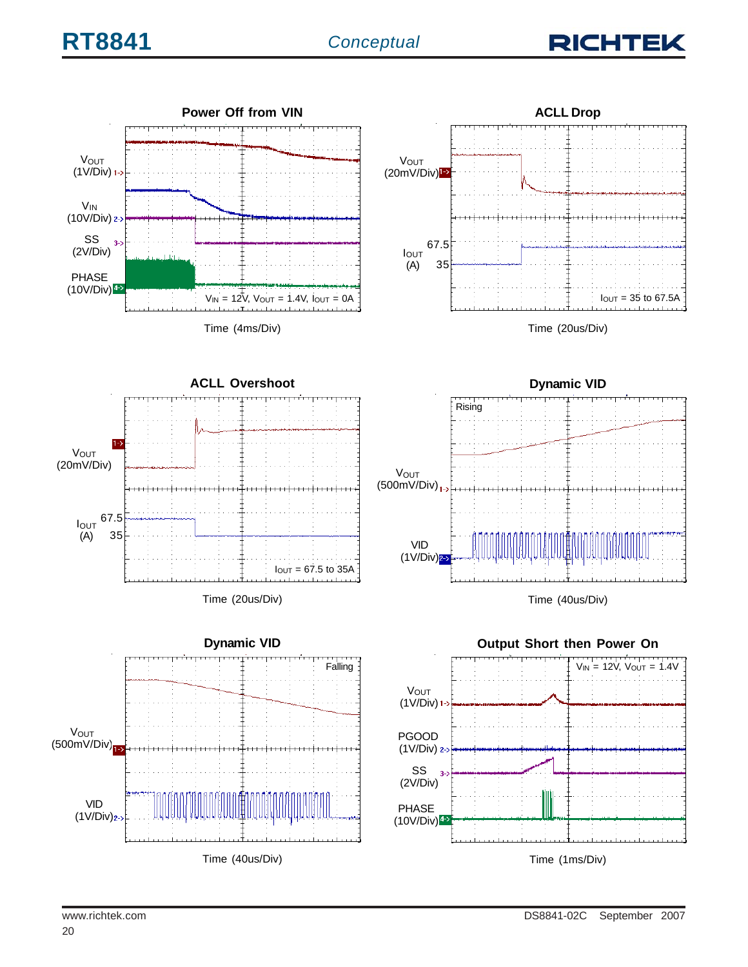

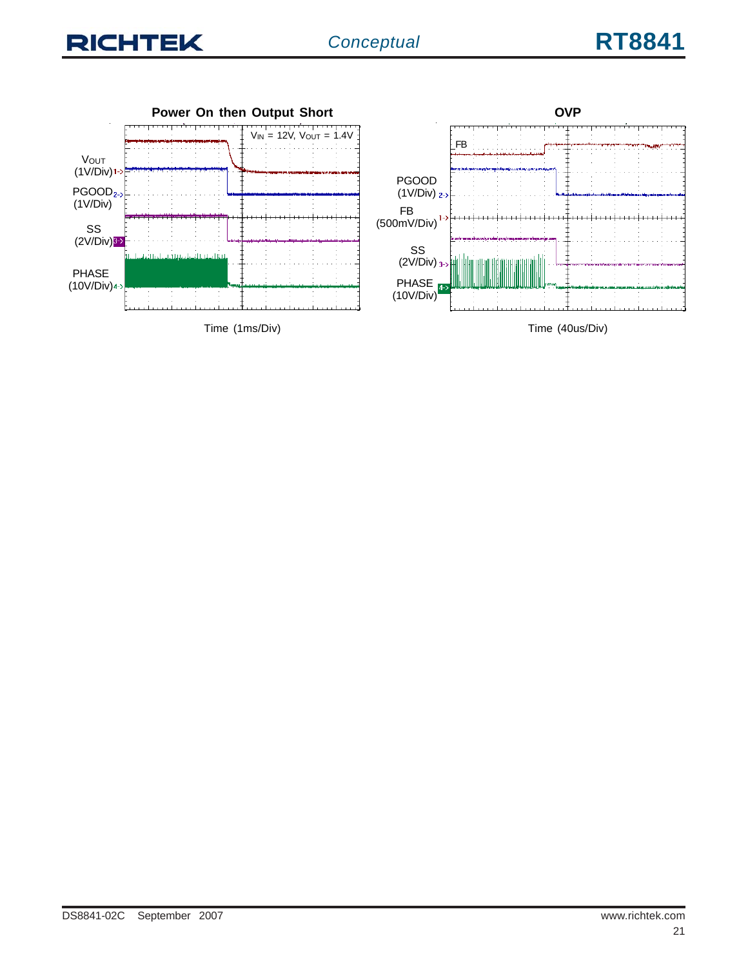

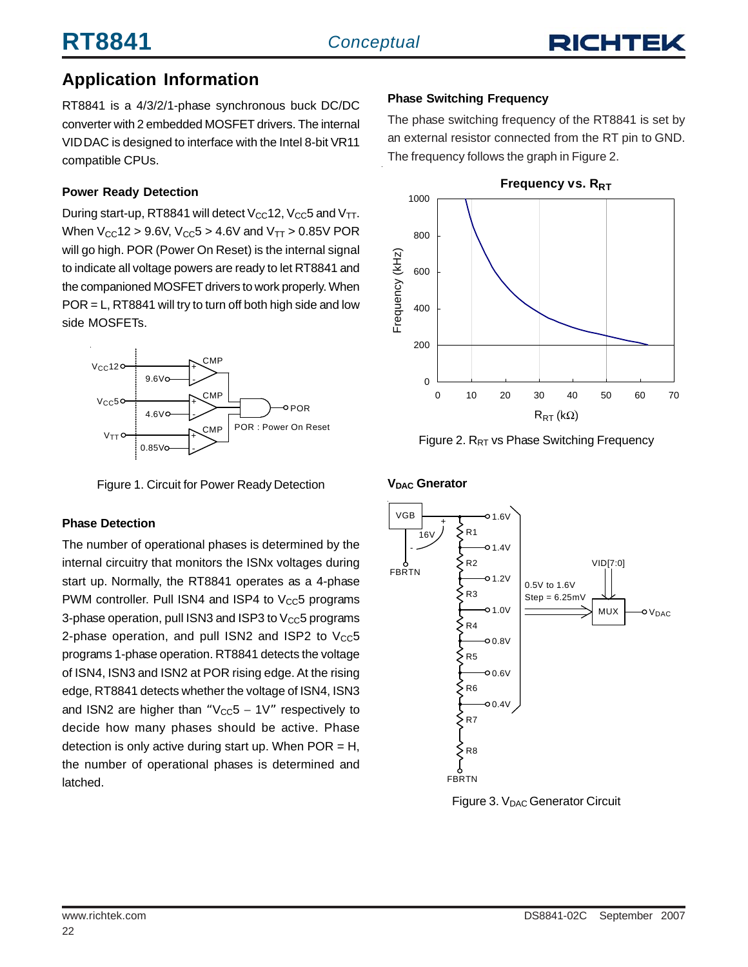**RT8841** *Conceptual*

## RICHTE

### **Application Information**

RT8841 is a 4/3/2/1-phase synchronous buck DC/DC converter with 2 embedded MOSFET drivers. The internal VID DAC is designed to interface with the Intel 8-bit VR11 compatible CPUs.

#### **Power Ready Detection**

During start-up, RT8841 will detect  $V_{CC}$ 12,  $V_{CC}$ 5 and  $V_{TT}$ . When  $V_{\text{CC}}$ 12 > 9.6V,  $V_{\text{CC}}$ 5 > 4.6V and  $V_{\text{TT}}$  > 0.85V POR will go high. POR (Power On Reset) is the internal signal to indicate all voltage powers are ready to let RT8841 and the companioned MOSFET drivers to work properly. When POR = L, RT8841 will try to turn off both high side and low side MOSFETs.



Figure 1. Circuit for Power Ready Detection

#### **Phase Detection**

The number of operational phases is determined by the internal circuitry that monitors the ISNx voltages during start up. Normally, the RT8841 operates as a 4-phase PWM controller. Pull ISN4 and ISP4 to  $V_{CC}5$  programs 3-phase operation, pull ISN3 and ISP3 to  $V_{CC}$ 5 programs 2-phase operation, and pull ISN2 and ISP2 to  $V_{CC}5$ programs 1-phase operation. RT8841 detects the voltage of ISN4, ISN3 and ISN2 at POR rising edge. At the rising edge, RT8841 detects whether the voltage of ISN4, ISN3 and ISN2 are higher than " $V_{CC}5 - 1V''$  respectively to decide how many phases should be active. Phase detection is only active during start up. When  $POR = H$ , the number of operational phases is determined and latched.

#### **Phase Switching Frequency**

The phase switching frequency of the RT8841 is set by an external resistor connected from the RT pin to GND. The frequency follows the graph in Figure 2.



Figure 2.  $R_{RT}$  vs Phase Switching Frequency

#### **V<sub>DAC</sub>** Gnerator



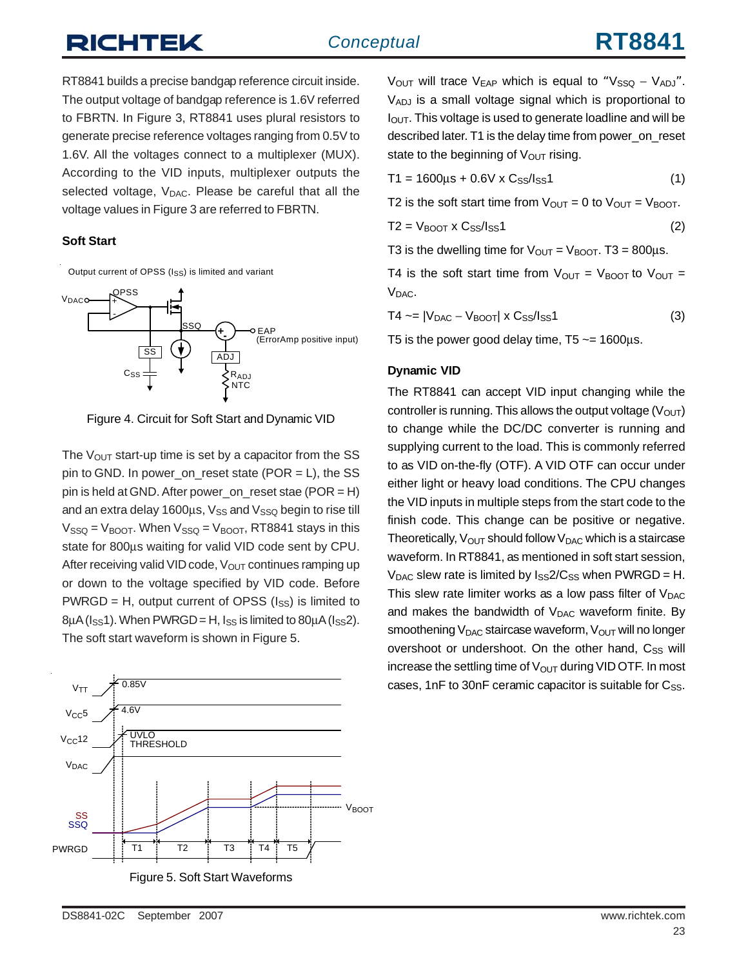# RICHTEK

RT8841 builds a precise bandgap reference circuit inside. The output voltage of bandgap reference is 1.6V referred to FBRTN. In Figure 3, RT8841 uses plural resistors to generate precise reference voltages ranging from 0.5V to 1.6V. All the voltages connect to a multiplexer (MUX). According to the VID inputs, multiplexer outputs the selected voltage, V<sub>DAC</sub>. Please be careful that all the voltage values in Figure 3 are referred to FBRTN.

#### **Soft Start**

Output current of OPSS (I<sub>SS</sub>) is limited and variant



Figure 4. Circuit for Soft Start and Dynamic VID

The  $V_{\text{OUT}}$  start-up time is set by a capacitor from the SS pin to GND. In power on reset state (POR  $=$  L), the SS pin is held at GND. After power on reset stae (POR = H) and an extra delay 1600 $\mu$ s, V<sub>SS</sub> and V<sub>SSQ</sub> begin to rise till  $V_{SSQ} = V_{BOOT}$ . When  $V_{SSQ} = V_{BOOT}$ , RT8841 stays in this state for 800μs waiting for valid VID code sent by CPU. After receiving valid VID code,  $V_{OUT}$  continues ramping up or down to the voltage specified by VID code. Before PWRGD = H, output current of OPSS ( $I_{SS}$ ) is limited to  $8\mu$ A ( $I_{SS}$ 1). When PWRGD = H,  $I_{SS}$  is limited to  $80\mu$ A ( $I_{SS}$ 2). The soft start waveform is shown in Figure 5.



V<sub>OUT</sub> will trace V<sub>EAP</sub> which is equal to "V<sub>SSQ</sub> – V<sub>ADJ</sub>". VADJ is a small voltage signal which is proportional to  $I<sub>OUT</sub>$ . This voltage is used to generate loadline and will be described later. T1 is the delay time from power\_on\_reset state to the beginning of  $V_{\text{OUT}}$  rising.

$$
T1 = 1600 \mu s + 0.6 V \times C_{SS}/I_{SS}1
$$
 (1)

T2 is the soft start time from  $V_{\text{OUT}} = 0$  to  $V_{\text{OUT}} = V_{\text{BOOT}}$ .

$$
T2 = V_{\text{BOOT}} \times C_{\text{SS}} / I_{\text{SS}} 1 \tag{2}
$$

T3 is the dwelling time for  $V_{\text{OUT}} = V_{\text{BNOT}}$ . T3 = 800us.

T4 is the soft start time from  $V_{OUT} = V_{BOOT}$  to  $V_{OUT} =$ V<sub>DAC</sub>.

$$
T4 \sim = |V_{DAC} - V_{"}|\times C_{SS}/I_{SS}1 \tag{3}
$$

T5 is the power good delay time,  $T5 \approx 1600 \mu s$ .

#### **Dynamic VID**

The RT8841 can accept VID input changing while the controller is running. This allows the output voltage  $(V<sub>OUT</sub>)$ to change while the DC/DC converter is running and supplying current to the load. This is commonly referred to as VID on-the-fly (OTF). A VID OTF can occur under either light or heavy load conditions. The CPU changes the VID inputs in multiple steps from the start code to the finish code. This change can be positive or negative. Theoretically,  $V_{\text{OUT}}$  should follow  $V_{\text{DAC}}$  which is a staircase waveform. In RT8841, as mentioned in soft start session,  $V_{\text{DAC}}$  slew rate is limited by  $I_{\text{SS}}2/C_{\text{SS}}$  when PWRGD = H. This slew rate limiter works as a low pass filter of  $V_{\text{DAC}}$ and makes the bandwidth of  $V_{\text{DAC}}$  waveform finite. By smoothening  $V_{DAC}$  staircase waveform,  $V_{OUT}$  will no longer overshoot or undershoot. On the other hand,  $C_{SS}$  will increase the settling time of  $V_{\text{OUT}}$  during VID OTF. In most cases, 1nF to 30nF ceramic capacitor is suitable for  $C_{SS}$ .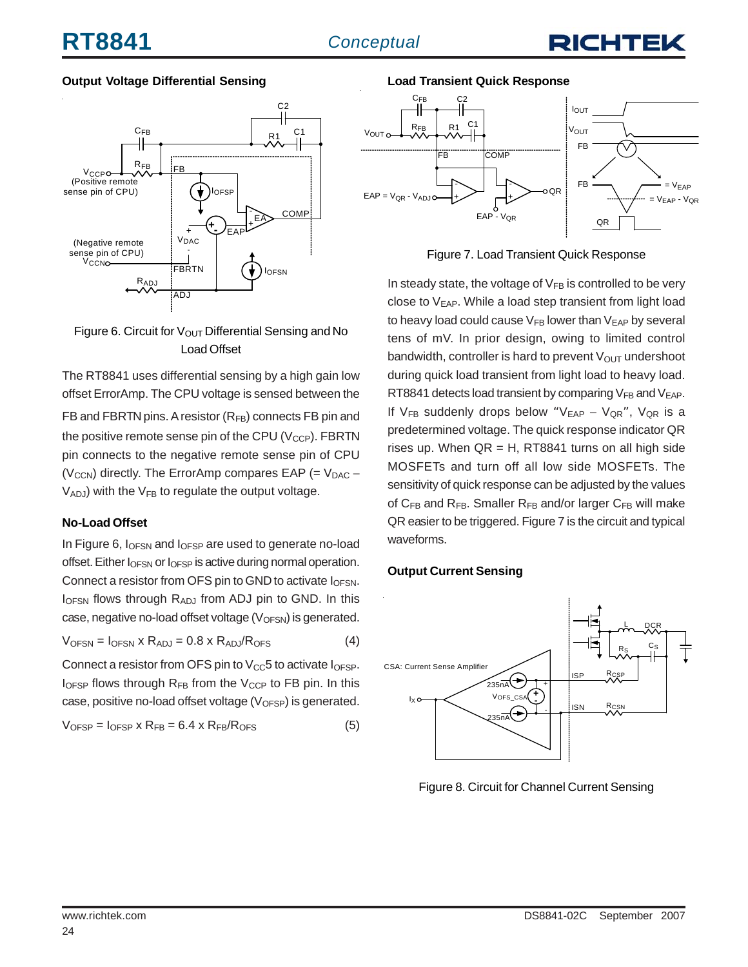

#### **Output Voltage Differential Sensing**



#### Figure 6. Circuit for  $V_{\text{OUT}}$  Differential Sensing and No Load Offset

The RT8841 uses differential sensing by a high gain low offset ErrorAmp. The CPU voltage is sensed between the FB and FBRTN pins. A resistor (RFB) connects FB pin and the positive remote sense pin of the CPU ( $V_{CCP}$ ). FBRTN pin connects to the negative remote sense pin of CPU ( $V_{\text{CCN}}$ ) directly. The ErrorAmp compares EAP (=  $V_{\text{DAC}}$  –  $V_{ADJ}$ ) with the  $V_{FB}$  to regulate the output voltage.

#### **No-Load Offset**

In Figure 6, I<sub>OFSN</sub> and I<sub>OFSP</sub> are used to generate no-load offset. Either I<sub>OFSN</sub> or I<sub>OFSP</sub> is active during normal operation. Connect a resistor from OFS pin to GND to activate  $I_{OFSN}$ .  $I<sub>OFSN</sub>$  flows through  $R<sub>ADJ</sub>$  from ADJ pin to GND. In this case, negative no-load offset voltage  $(V<sub>OFSN</sub>)$  is generated.

$$
V_{OFSN} = I_{OFSN} \times R_{ADJ} = 0.8 \times R_{ADJ}/R_{OFS}
$$
 (4)

Connect a resistor from OFS pin to  $V_{CC}$ 5 to activate  $I_{OFF}$ .  $I_{OFSP}$  flows through  $R_{FB}$  from the  $V_{CCP}$  to FB pin. In this case, positive no-load offset voltage  $(V_{OFSP})$  is generated.

$$
V_{OFSP} = I_{OFSP} \times R_{FB} = 6.4 \times R_{FB}/R_{OFS}
$$
 (5)

**Load Transient Quick Response**



Figure 7. Load Transient Quick Response

In steady state, the voltage of  $V_{FB}$  is controlled to be very close to V<sub>EAP</sub>. While a load step transient from light load to heavy load could cause  $V_{FB}$  lower than  $V_{EAP}$  by several tens of mV. In prior design, owing to limited control bandwidth, controller is hard to prevent  $V_{\text{OUT}}$  undershoot during quick load transient from light load to heavy load. RT8841 detects load transient by comparing  $V_{FB}$  and  $V_{EAP}$ . If V<sub>FB</sub> suddenly drops below "V<sub>EAP</sub> - V<sub>QR</sub>", V<sub>QR</sub> is a predetermined voltage. The quick response indicator QR rises up. When  $QR = H$ , RT8841 turns on all high side MOSFETs and turn off all low side MOSFETs. The sensitivity of quick response can be adjusted by the values of  $C_{FB}$  and  $R_{FB}$ . Smaller  $R_{FB}$  and/or larger  $C_{FB}$  will make QR easier to be triggered. Figure 7 is the circuit and typical waveforms.

#### **Output Current Sensing**



Figure 8. Circuit for Channel Current Sensing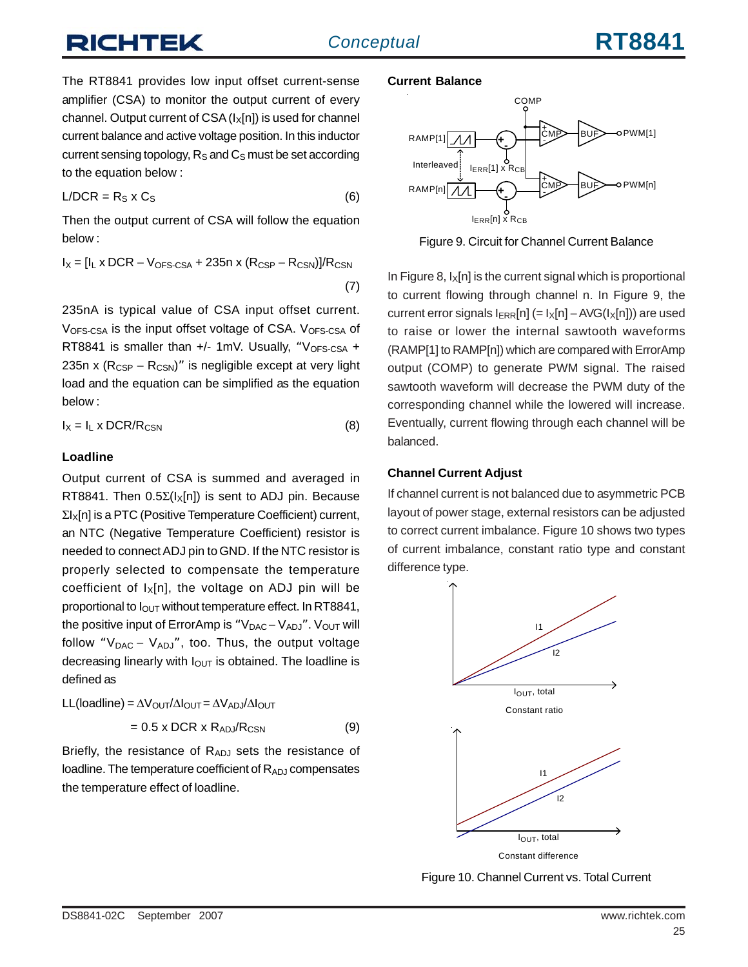# IHTEK

The RT8841 provides low input offset current-sense amplifier (CSA) to monitor the output current of every channel. Output current of  $CSA (I_x[n])$  is used for channel current balance and active voltage position. In this inductor current sensing topology,  $R<sub>S</sub>$  and  $C<sub>S</sub>$  must be set according to the equation below :

$$
L/DCR = R_S \times C_S \tag{6}
$$

Then the output current of CSA will follow the equation below :

$$
I_X = [I_L \times DCR - V_{OFS\text{-CSA}} + 235n \times (R_{CSP} - R_{CSN})]/R_{CSN}
$$
\n(7)

235nA is typical value of CSA input offset current. V<sub>OFS-CSA</sub> is the input offset voltage of CSA. V<sub>OFS-CSA</sub> of RT8841 is smaller than  $+/-$  1mV. Usually, "V<sub>OFS-CSA</sub> + 235n x  $(R_{CSP} - R_{CSN})$ " is negligible except at very light load and the equation can be simplified as the equation below :

$$
I_X = I_L \times DCR/R_{CSN}
$$
 (8)

#### **Loadline**

Output current of CSA is summed and averaged in RT8841. Then  $0.5\Sigma(I_x[n])$  is sent to ADJ pin. Because ΣIX[n] is a PTC (Positive Temperature Coefficient) current, an NTC (Negative Temperature Coefficient) resistor is needed to connect ADJ pin to GND. If the NTC resistor is properly selected to compensate the temperature coefficient of  $I_X[n]$ , the voltage on ADJ pin will be proportional to  $I<sub>OUT</sub>$  without temperature effect. In RT8841, the positive input of ErrorAmp is " $V_{DAC} - V_{ADJ}$ ".  $V_{OUT}$  will follow " $V_{DAC} - V_{ADJ}$ ", too. Thus, the output voltage decreasing linearly with  $I<sub>OUT</sub>$  is obtained. The loadline is defined as

$$
LL(loading) = \Delta V_{OUT}/\Delta I_{OUT} = \Delta V_{ADJ}/\Delta I_{OUT}
$$

$$
= 0.5 \times DCR \times R_{ADJ}/R_{CSN}
$$
 (9)

Briefly, the resistance of  $R_{ADJ}$  sets the resistance of loadline. The temperature coefficient of  $R_{AD,J}$  compensates the temperature effect of loadline.

#### **Current Balance**



Figure 9. Circuit for Channel Current Balance

In Figure 8,  $I_x[n]$  is the current signal which is proportional to current flowing through channel n. In Figure 9, the current error signals  $I_{ERR}[n] (= I_X[n] - AVG(I_X[n]))$  are used to raise or lower the internal sawtooth waveforms (RAMP[1] to RAMP[n]) which are compared with ErrorAmp output (COMP) to generate PWM signal. The raised sawtooth waveform will decrease the PWM duty of the corresponding channel while the lowered will increase. Eventually, current flowing through each channel will be balanced.

#### **Channel Current Adjust**

If channel current is not balanced due to asymmetric PCB layout of power stage, external resistors can be adjusted to correct current imbalance. Figure 10 shows two types of current imbalance, constant ratio type and constant difference type.



Figure 10. Channel Current vs. Total Current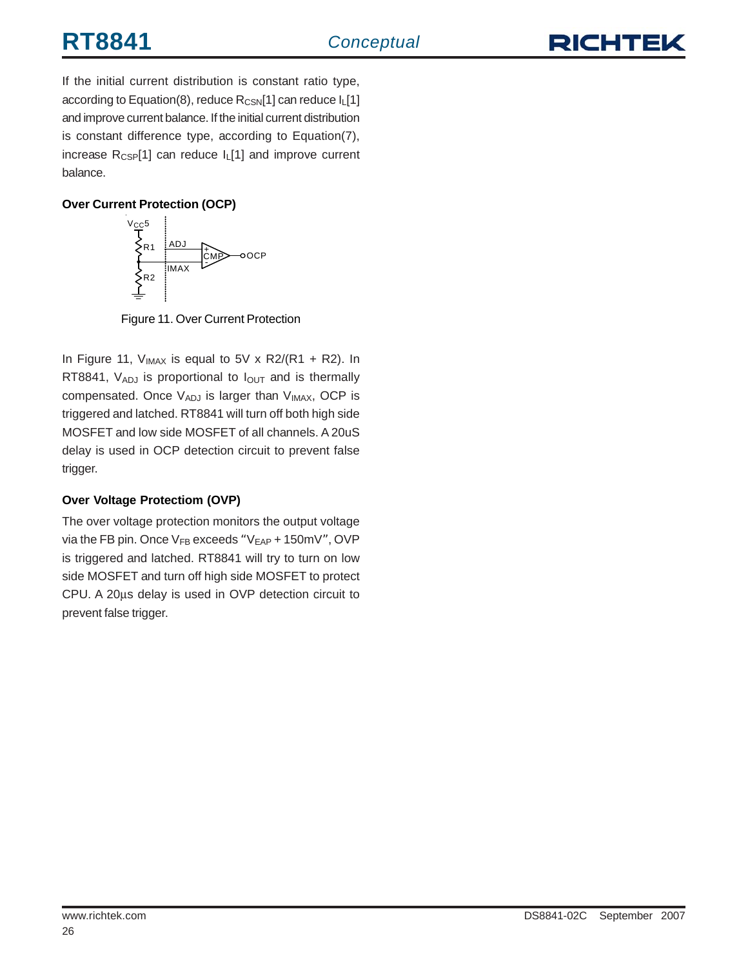

If the initial current distribution is constant ratio type, according to Equation(8), reduce  $R_{CSN}[1]$  can reduce  $I_L[1]$ and improve current balance. If the initial current distribution is constant difference type, according to Equation(7), increase  $R_{CSP}[1]$  can reduce  $I_{L}[1]$  and improve current balance.

#### **Over Current Protection (OCP)**



Figure 11. Over Current Protection

In Figure 11,  $V_{IMAX}$  is equal to 5V x R2/(R1 + R2). In RT8841,  $V_{ADJ}$  is proportional to  $I_{OUT}$  and is thermally compensated. Once  $V_{ADJ}$  is larger than  $V_{IMAX}$ , OCP is triggered and latched. RT8841 will turn off both high side MOSFET and low side MOSFET of all channels. A 20uS delay is used in OCP detection circuit to prevent false trigger.

#### **Over Voltage Protectiom (OVP)**

The over voltage protection monitors the output voltage via the FB pin. Once  $V_{FB}$  exceeds " $V_{EAP}$  + 150mV", OVP is triggered and latched. RT8841 will try to turn on low side MOSFET and turn off high side MOSFET to protect CPU. A 20μs delay is used in OVP detection circuit to prevent false trigger.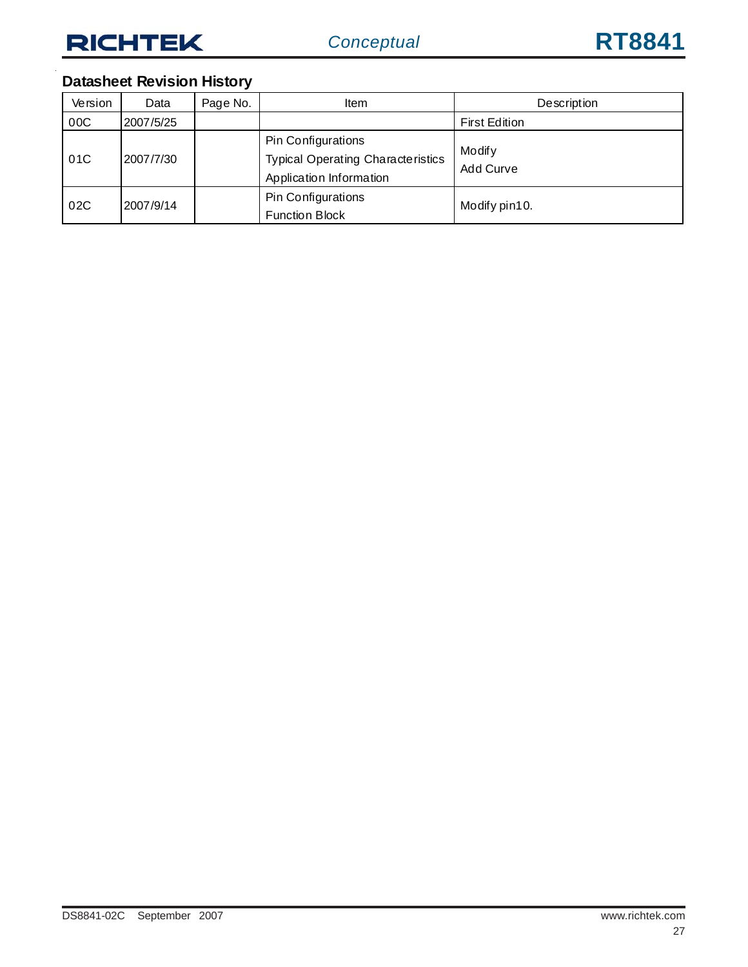### **Datasheet Revision History**

| Version | Data      | Page No. | ltem                                                                                      | Description          |
|---------|-----------|----------|-------------------------------------------------------------------------------------------|----------------------|
| 00C     | 2007/5/25 |          |                                                                                           | <b>First Edition</b> |
| 01C     | 2007/7/30 |          | Pin Configurations<br><b>Typical Operating Characteristics</b><br>Application Information | Modify<br>Add Curve  |
| 02C     | 2007/9/14 |          | Pin Configurations<br><b>Function Block</b>                                               | Modify pin10.        |